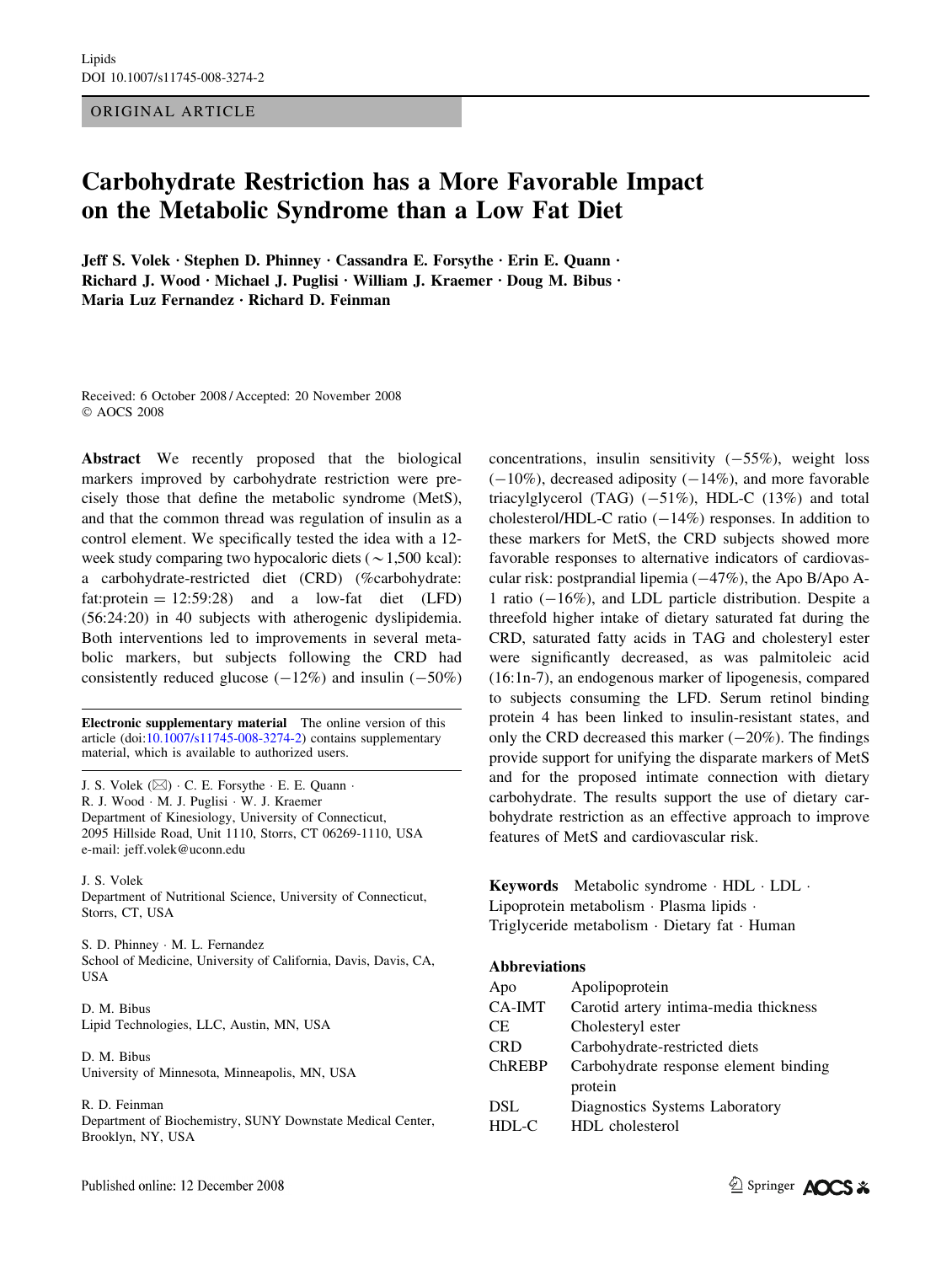ORIGINAL ARTICLE

# Carbohydrate Restriction has a More Favorable Impact on the Metabolic Syndrome than a Low Fat Diet

Jeff S. Volek · Stephen D. Phinney · Cassandra E. Forsythe · Erin E. Quann · Richard J. Wood  $\cdot$  Michael J. Puglisi  $\cdot$  William J. Kraemer  $\cdot$  Doug M. Bibus  $\cdot$ Maria Luz Fernandez  $\cdot$  Richard D. Feinman

Received: 6 October 2008 / Accepted: 20 November 2008 AOCS 2008

Abstract We recently proposed that the biological markers improved by carbohydrate restriction were precisely those that define the metabolic syndrome (MetS), and that the common thread was regulation of insulin as a control element. We specifically tested the idea with a 12 week study comparing two hypocaloric diets ( $\sim$ 1,500 kcal): a carbohydrate-restricted diet (CRD) (%carbohydrate: fat: protein  $= 12:59:28$  and a low-fat diet (LFD) (56:24:20) in 40 subjects with atherogenic dyslipidemia. Both interventions led to improvements in several metabolic markers, but subjects following the CRD had consistently reduced glucose  $(-12%)$  and insulin  $(-50%)$ 

Electronic supplementary material The online version of this article (doi:[10.1007/s11745-008-3274-2\)](http://dx.doi.org/10.1007/s11745-008-3274-2) contains supplementary material, which is available to authorized users.

J. S. Volek ( $\boxtimes$ ) · C. E. Forsythe · E. E. Quann · R. J. Wood · M. J. Puglisi · W. J. Kraemer Department of Kinesiology, University of Connecticut, 2095 Hillside Road, Unit 1110, Storrs, CT 06269-1110, USA e-mail: jeff.volek@uconn.edu

J. S. Volek Department of Nutritional Science, University of Connecticut, Storrs, CT, USA

S. D. Phinney · M. L. Fernandez School of Medicine, University of California, Davis, Davis, CA, USA

D. M. Bibus Lipid Technologies, LLC, Austin, MN, USA

D. M. Bibus University of Minnesota, Minneapolis, MN, USA

R. D. Feinman

Department of Biochemistry, SUNY Downstate Medical Center, Brooklyn, NY, USA

concentrations, insulin sensitivity  $(-55\%)$ , weight loss  $(-10\%)$ , decreased adiposity  $(-14\%)$ , and more favorable triacylglycerol (TAG)  $(-51\%)$ , HDL-C  $(13\%)$  and total cholesterol/HDL-C ratio  $(-14%)$  responses. In addition to these markers for MetS, the CRD subjects showed more favorable responses to alternative indicators of cardiovascular risk: postprandial lipemia  $(-47%)$ , the Apo B/Apo A-1 ratio  $(-16\%)$ , and LDL particle distribution. Despite a threefold higher intake of dietary saturated fat during the CRD, saturated fatty acids in TAG and cholesteryl ester were significantly decreased, as was palmitoleic acid (16:1n-7), an endogenous marker of lipogenesis, compared to subjects consuming the LFD. Serum retinol binding protein 4 has been linked to insulin-resistant states, and only the CRD decreased this marker  $(-20\%)$ . The findings provide support for unifying the disparate markers of MetS and for the proposed intimate connection with dietary carbohydrate. The results support the use of dietary carbohydrate restriction as an effective approach to improve features of MetS and cardiovascular risk.

Keywords Metabolic syndrome · HDL · LDL · Lipoprotein metabolism · Plasma lipids · Triglyceride metabolism · Dietary fat · Human

#### Abbreviations

| Apo           | Apolipoprotein                        |
|---------------|---------------------------------------|
| CA-IMT        | Carotid artery intima-media thickness |
| CE.           | Cholesteryl ester                     |
| <b>CRD</b>    | Carbohydrate-restricted diets         |
| <b>ChREBP</b> | Carbohydrate response element binding |
|               | protein                               |
| <b>DSL</b>    | Diagnostics Systems Laboratory        |
| $HDL-C$       | HDL cholesterol                       |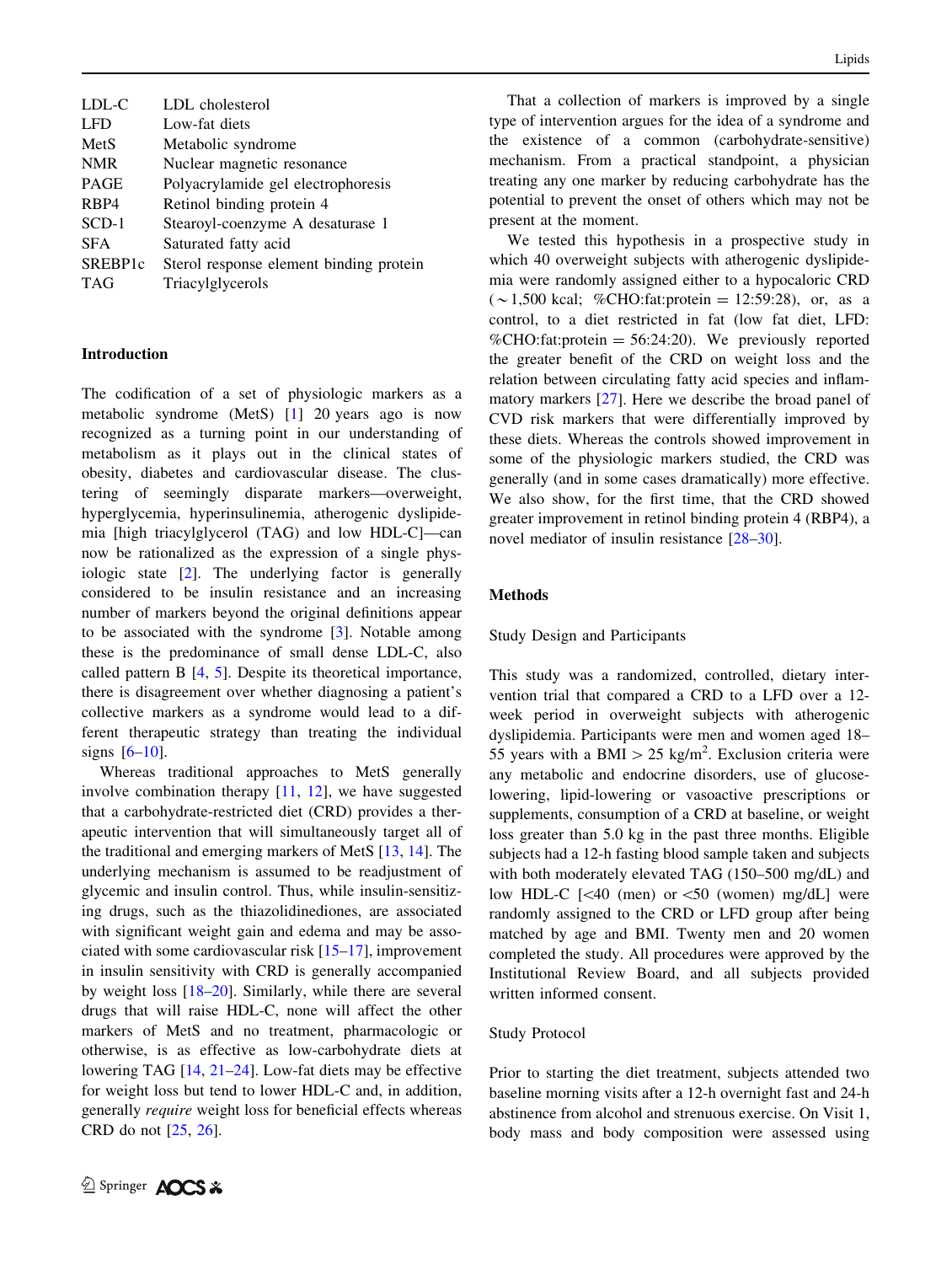| LDL-C               | LDL cholesterol                         |
|---------------------|-----------------------------------------|
| <b>LFD</b>          | Low-fat diets                           |
| MetS                | Metabolic syndrome                      |
| <b>NMR</b>          | Nuclear magnetic resonance              |
| <b>PAGE</b>         | Polyacrylamide gel electrophoresis      |
| R <sub>BP4</sub>    | Retinol binding protein 4               |
| $SCD-1$             | Stearoyl-coenzyme A desaturase 1        |
| <b>SFA</b>          | Saturated fatty acid                    |
| SREBP <sub>1c</sub> | Sterol response element binding protein |
| <b>TAG</b>          | Triacylglycerols                        |
|                     |                                         |

## Introduction

The codification of a set of physiologic markers as a metabolic syndrome (MetS) [[1\]](#page-11-0) 20 years ago is now recognized as a turning point in our understanding of metabolism as it plays out in the clinical states of obesity, diabetes and cardiovascular disease. The clustering of seemingly disparate markers—overweight, hyperglycemia, hyperinsulinemia, atherogenic dyslipidemia [high triacylglycerol (TAG) and low HDL-C]—can now be rationalized as the expression of a single physiologic state [\[2](#page-11-0)]. The underlying factor is generally considered to be insulin resistance and an increasing number of markers beyond the original definitions appear to be associated with the syndrome [\[3](#page-11-0)]. Notable among these is the predominance of small dense LDL-C, also called pattern B [\[4](#page-11-0), [5](#page-11-0)]. Despite its theoretical importance, there is disagreement over whether diagnosing a patient's collective markers as a syndrome would lead to a different therapeutic strategy than treating the individual signs  $[6-10]$ .

Whereas traditional approaches to MetS generally involve combination therapy [[11,](#page-11-0) [12](#page-11-0)], we have suggested that a carbohydrate-restricted diet (CRD) provides a therapeutic intervention that will simultaneously target all of the traditional and emerging markers of MetS [\[13](#page-11-0), [14](#page-11-0)]. The underlying mechanism is assumed to be readjustment of glycemic and insulin control. Thus, while insulin-sensitizing drugs, such as the thiazolidinediones, are associated with significant weight gain and edema and may be associated with some cardiovascular risk [[15–17\]](#page-11-0), improvement in insulin sensitivity with CRD is generally accompanied by weight loss [[18–20\]](#page-11-0). Similarly, while there are several drugs that will raise HDL-C, none will affect the other markers of MetS and no treatment, pharmacologic or otherwise, is as effective as low-carbohydrate diets at lowering TAG [\[14,](#page-11-0) [21–24](#page-11-0)]. Low-fat diets may be effective for weight loss but tend to lower HDL-C and, in addition, generally require weight loss for beneficial effects whereas CRD do not [[25,](#page-11-0) [26](#page-11-0)].

That a collection of markers is improved by a single type of intervention argues for the idea of a syndrome and the existence of a common (carbohydrate-sensitive) mechanism. From a practical standpoint, a physician treating any one marker by reducing carbohydrate has the potential to prevent the onset of others which may not be present at the moment.

We tested this hypothesis in a prospective study in which 40 overweight subjects with atherogenic dyslipidemia were randomly assigned either to a hypocaloric CRD  $({\sim}1,500 \text{ kcal};$  %CHO:fat:protein = 12:59:28), or, as a control, to a diet restricted in fat (low fat diet, LFD: %CHO:fat:protein =  $56:24:20$ ). We previously reported the greater benefit of the CRD on weight loss and the relation between circulating fatty acid species and inflammatory markers [\[27](#page-11-0)]. Here we describe the broad panel of CVD risk markers that were differentially improved by these diets. Whereas the controls showed improvement in some of the physiologic markers studied, the CRD was generally (and in some cases dramatically) more effective. We also show, for the first time, that the CRD showed greater improvement in retinol binding protein 4 (RBP4), a novel mediator of insulin resistance [\[28–30\]](#page-11-0).

## Methods

## Study Design and Participants

This study was a randomized, controlled, dietary intervention trial that compared a CRD to a LFD over a 12 week period in overweight subjects with atherogenic dyslipidemia. Participants were men and women aged 18– 55 years with a BMI  $> 25$  kg/m<sup>2</sup>. Exclusion criteria were any metabolic and endocrine disorders, use of glucoselowering, lipid-lowering or vasoactive prescriptions or supplements, consumption of a CRD at baseline, or weight loss greater than 5.0 kg in the past three months. Eligible subjects had a 12-h fasting blood sample taken and subjects with both moderately elevated TAG (150–500 mg/dL) and low HDL-C  $\left[\frac{40 \text{ (men)}}{30 \text{ (women)}} \right]$  were randomly assigned to the CRD or LFD group after being matched by age and BMI. Twenty men and 20 women completed the study. All procedures were approved by the Institutional Review Board, and all subjects provided written informed consent.

#### Study Protocol

Prior to starting the diet treatment, subjects attended two baseline morning visits after a 12-h overnight fast and 24-h abstinence from alcohol and strenuous exercise. On Visit 1, body mass and body composition were assessed using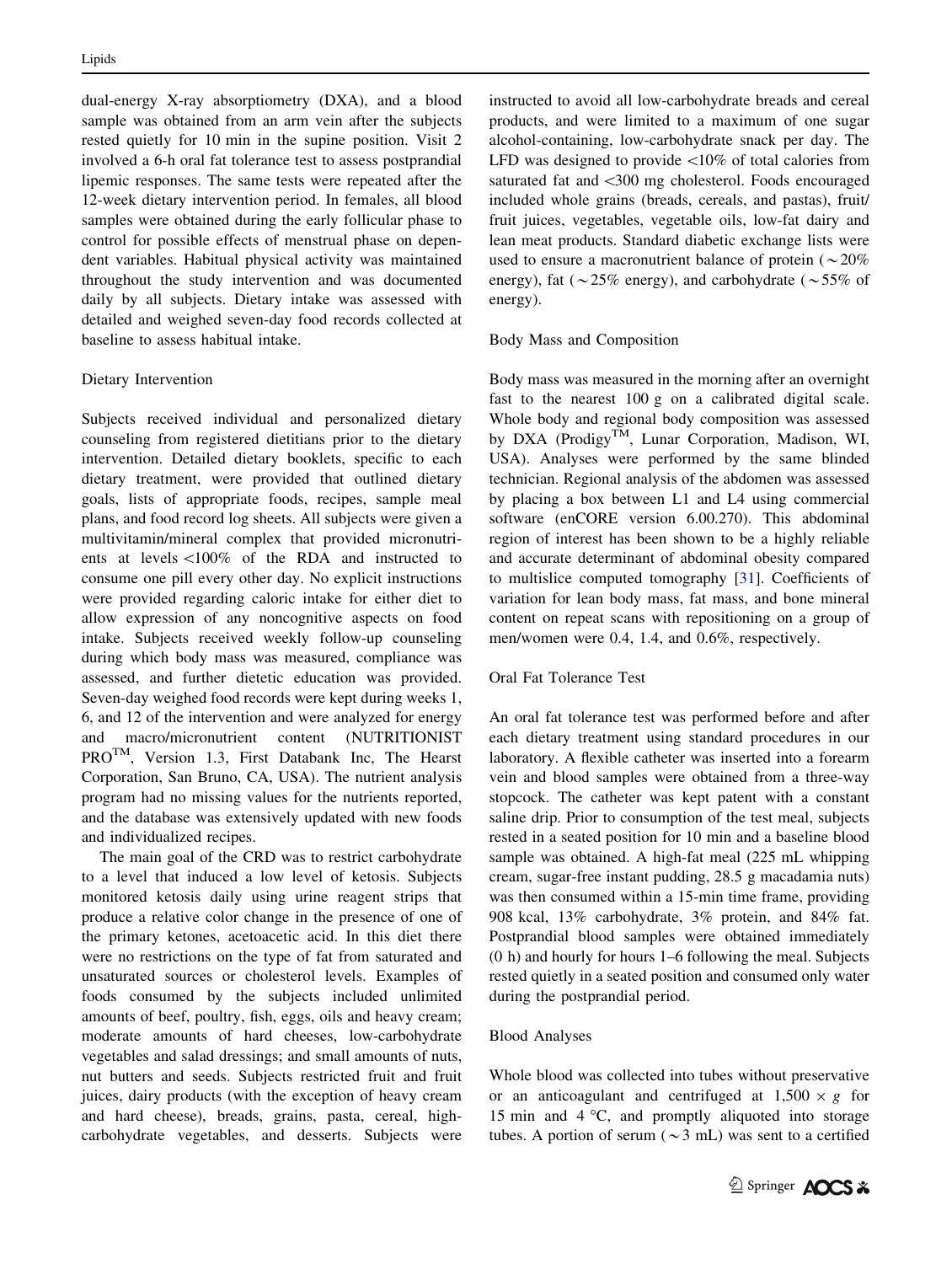dual-energy X-ray absorptiometry (DXA), and a blood sample was obtained from an arm vein after the subjects rested quietly for 10 min in the supine position. Visit 2 involved a 6-h oral fat tolerance test to assess postprandial lipemic responses. The same tests were repeated after the 12-week dietary intervention period. In females, all blood samples were obtained during the early follicular phase to control for possible effects of menstrual phase on dependent variables. Habitual physical activity was maintained throughout the study intervention and was documented daily by all subjects. Dietary intake was assessed with detailed and weighed seven-day food records collected at baseline to assess habitual intake.

## Dietary Intervention

Subjects received individual and personalized dietary counseling from registered dietitians prior to the dietary intervention. Detailed dietary booklets, specific to each dietary treatment, were provided that outlined dietary goals, lists of appropriate foods, recipes, sample meal plans, and food record log sheets. All subjects were given a multivitamin/mineral complex that provided micronutrients at levels \100% of the RDA and instructed to consume one pill every other day. No explicit instructions were provided regarding caloric intake for either diet to allow expression of any noncognitive aspects on food intake. Subjects received weekly follow-up counseling during which body mass was measured, compliance was assessed, and further dietetic education was provided. Seven-day weighed food records were kept during weeks 1, 6, and 12 of the intervention and were analyzed for energy and macro/micronutrient content (NUTRITIONIST PROTM, Version 1.3, First Databank Inc, The Hearst Corporation, San Bruno, CA, USA). The nutrient analysis program had no missing values for the nutrients reported, and the database was extensively updated with new foods and individualized recipes.

The main goal of the CRD was to restrict carbohydrate to a level that induced a low level of ketosis. Subjects monitored ketosis daily using urine reagent strips that produce a relative color change in the presence of one of the primary ketones, acetoacetic acid. In this diet there were no restrictions on the type of fat from saturated and unsaturated sources or cholesterol levels. Examples of foods consumed by the subjects included unlimited amounts of beef, poultry, fish, eggs, oils and heavy cream; moderate amounts of hard cheeses, low-carbohydrate vegetables and salad dressings; and small amounts of nuts, nut butters and seeds. Subjects restricted fruit and fruit juices, dairy products (with the exception of heavy cream and hard cheese), breads, grains, pasta, cereal, highcarbohydrate vegetables, and desserts. Subjects were instructed to avoid all low-carbohydrate breads and cereal products, and were limited to a maximum of one sugar alcohol-containing, low-carbohydrate snack per day. The LFD was designed to provide  $\langle 10\%$  of total calories from saturated fat and  $\leq 300$  mg cholesterol. Foods encouraged included whole grains (breads, cereals, and pastas), fruit/ fruit juices, vegetables, vegetable oils, low-fat dairy and lean meat products. Standard diabetic exchange lists were used to ensure a macronutrient balance of protein ( $\sim$ 20%) energy), fat ( $\sim$ 25% energy), and carbohydrate ( $\sim$ 55% of energy).

## Body Mass and Composition

Body mass was measured in the morning after an overnight fast to the nearest 100 g on a calibrated digital scale. Whole body and regional body composition was assessed by DXA (Prodigy<sup>TM</sup>, Lunar Corporation, Madison, WI, USA). Analyses were performed by the same blinded technician. Regional analysis of the abdomen was assessed by placing a box between L1 and L4 using commercial software (enCORE version 6.00.270). This abdominal region of interest has been shown to be a highly reliable and accurate determinant of abdominal obesity compared to multislice computed tomography [[31\]](#page-11-0). Coefficients of variation for lean body mass, fat mass, and bone mineral content on repeat scans with repositioning on a group of men/women were 0.4, 1.4, and 0.6%, respectively.

## Oral Fat Tolerance Test

An oral fat tolerance test was performed before and after each dietary treatment using standard procedures in our laboratory. A flexible catheter was inserted into a forearm vein and blood samples were obtained from a three-way stopcock. The catheter was kept patent with a constant saline drip. Prior to consumption of the test meal, subjects rested in a seated position for 10 min and a baseline blood sample was obtained. A high-fat meal (225 mL whipping cream, sugar-free instant pudding, 28.5 g macadamia nuts) was then consumed within a 15-min time frame, providing 908 kcal, 13% carbohydrate, 3% protein, and 84% fat. Postprandial blood samples were obtained immediately (0 h) and hourly for hours 1–6 following the meal. Subjects rested quietly in a seated position and consumed only water during the postprandial period.

## Blood Analyses

Whole blood was collected into tubes without preservative or an anticoagulant and centrifuged at  $1,500 \times g$  for 15 min and  $4^{\circ}$ C, and promptly aliquoted into storage tubes. A portion of serum ( $\sim$ 3 mL) was sent to a certified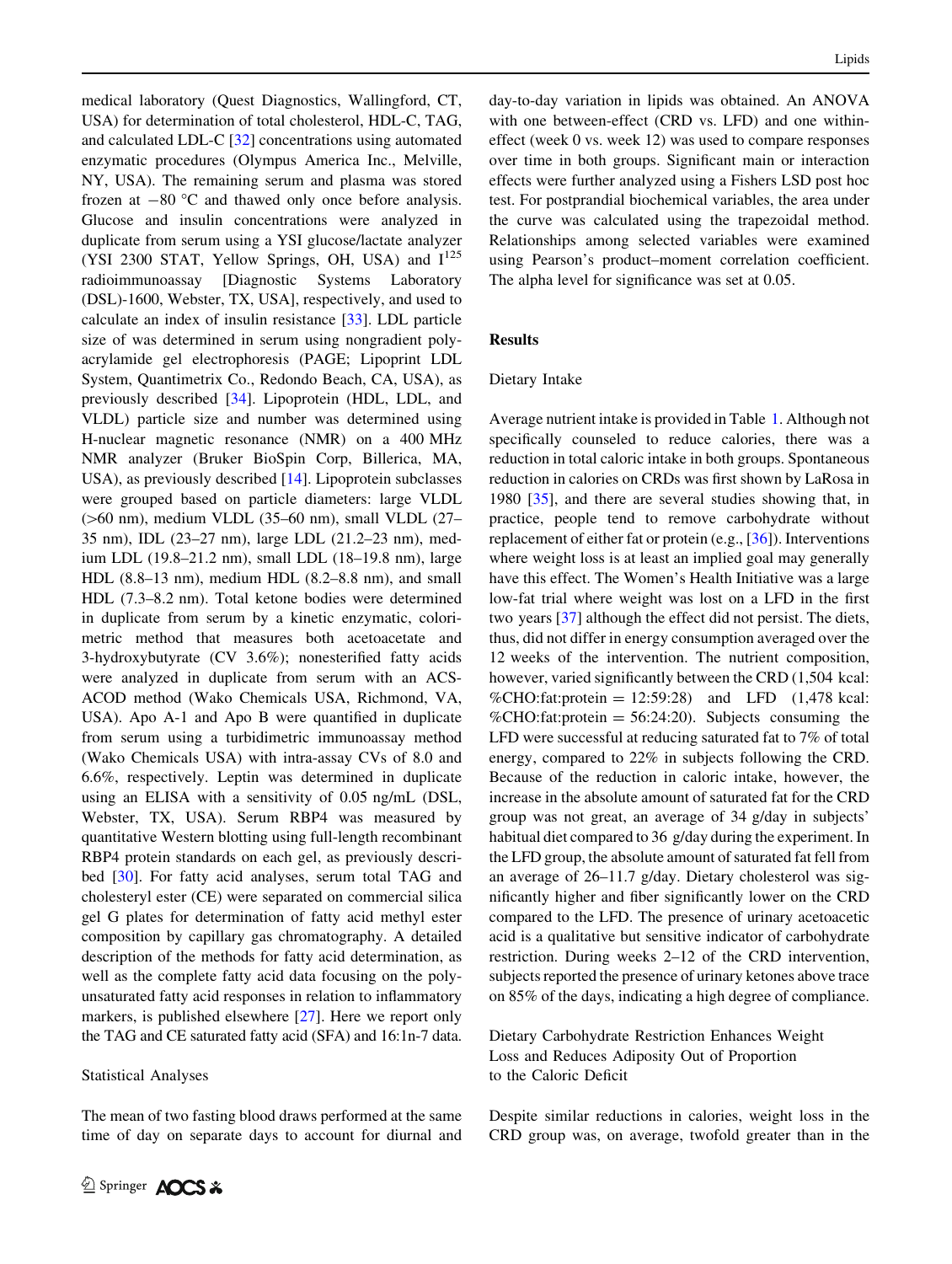medical laboratory (Quest Diagnostics, Wallingford, CT, USA) for determination of total cholesterol, HDL-C, TAG, and calculated LDL-C [\[32](#page-11-0)] concentrations using automated enzymatic procedures (Olympus America Inc., Melville, NY, USA). The remaining serum and plasma was stored frozen at  $-80$  °C and thawed only once before analysis. Glucose and insulin concentrations were analyzed in duplicate from serum using a YSI glucose/lactate analyzer (YSI 2300 STAT, Yellow Springs, OH, USA) and  $I^{125}$ radioimmunoassay [Diagnostic Systems Laboratory (DSL)-1600, Webster, TX, USA], respectively, and used to calculate an index of insulin resistance [[33\]](#page-12-0). LDL particle size of was determined in serum using nongradient polyacrylamide gel electrophoresis (PAGE; Lipoprint LDL System, Quantimetrix Co., Redondo Beach, CA, USA), as previously described [\[34](#page-12-0)]. Lipoprotein (HDL, LDL, and VLDL) particle size and number was determined using H-nuclear magnetic resonance (NMR) on a 400 MHz NMR analyzer (Bruker BioSpin Corp, Billerica, MA, USA), as previously described [\[14](#page-11-0)]. Lipoprotein subclasses were grouped based on particle diameters: large VLDL  $($ >60 nm), medium VLDL  $(35–60$  nm), small VLDL  $(27–$ 35 nm), IDL (23–27 nm), large LDL (21.2–23 nm), medium LDL (19.8–21.2 nm), small LDL (18–19.8 nm), large HDL (8.8–13 nm), medium HDL (8.2–8.8 nm), and small HDL (7.3–8.2 nm). Total ketone bodies were determined in duplicate from serum by a kinetic enzymatic, colorimetric method that measures both acetoacetate and 3-hydroxybutyrate (CV 3.6%); nonesterified fatty acids were analyzed in duplicate from serum with an ACS-ACOD method (Wako Chemicals USA, Richmond, VA, USA). Apo A-1 and Apo B were quantified in duplicate from serum using a turbidimetric immunoassay method (Wako Chemicals USA) with intra-assay CVs of 8.0 and 6.6%, respectively. Leptin was determined in duplicate using an ELISA with a sensitivity of 0.05 ng/mL (DSL, Webster, TX, USA). Serum RBP4 was measured by quantitative Western blotting using full-length recombinant RBP4 protein standards on each gel, as previously described [\[30](#page-11-0)]. For fatty acid analyses, serum total TAG and cholesteryl ester (CE) were separated on commercial silica gel G plates for determination of fatty acid methyl ester composition by capillary gas chromatography. A detailed description of the methods for fatty acid determination, as well as the complete fatty acid data focusing on the polyunsaturated fatty acid responses in relation to inflammatory markers, is published elsewhere [[27\]](#page-11-0). Here we report only the TAG and CE saturated fatty acid (SFA) and 16:1n-7 data.

### Statistical Analyses

The mean of two fasting blood draws performed at the same time of day on separate days to account for diurnal and day-to-day variation in lipids was obtained. An ANOVA with one between-effect (CRD vs. LFD) and one withineffect (week 0 vs. week 12) was used to compare responses over time in both groups. Significant main or interaction effects were further analyzed using a Fishers LSD post hoc test. For postprandial biochemical variables, the area under the curve was calculated using the trapezoidal method. Relationships among selected variables were examined using Pearson's product–moment correlation coefficient. The alpha level for significance was set at 0.05.

## Results

#### Dietary Intake

Average nutrient intake is provided in Table [1.](#page-4-0) Although not specifically counseled to reduce calories, there was a reduction in total caloric intake in both groups. Spontaneous reduction in calories on CRDs was first shown by LaRosa in 1980 [[35\]](#page-12-0), and there are several studies showing that, in practice, people tend to remove carbohydrate without replacement of either fat or protein (e.g., [\[36](#page-12-0)]). Interventions where weight loss is at least an implied goal may generally have this effect. The Women's Health Initiative was a large low-fat trial where weight was lost on a LFD in the first two years [\[37](#page-12-0)] although the effect did not persist. The diets, thus, did not differ in energy consumption averaged over the 12 weeks of the intervention. The nutrient composition, however, varied significantly between the CRD (1,504 kcal: %CHO:fat:protein =  $12:59:28$ ) and LFD  $(1,478 \text{ kcal})$ : %CHO:fat:protein  $= 56:24:20$ ). Subjects consuming the LFD were successful at reducing saturated fat to 7% of total energy, compared to 22% in subjects following the CRD. Because of the reduction in caloric intake, however, the increase in the absolute amount of saturated fat for the CRD group was not great, an average of 34 g/day in subjects' habitual diet compared to 36 g/day during the experiment. In the LFD group, the absolute amount of saturated fat fell from an average of 26–11.7 g/day. Dietary cholesterol was significantly higher and fiber significantly lower on the CRD compared to the LFD. The presence of urinary acetoacetic acid is a qualitative but sensitive indicator of carbohydrate restriction. During weeks 2–12 of the CRD intervention, subjects reported the presence of urinary ketones above trace on 85% of the days, indicating a high degree of compliance.

Dietary Carbohydrate Restriction Enhances Weight Loss and Reduces Adiposity Out of Proportion to the Caloric Deficit

Despite similar reductions in calories, weight loss in the CRD group was, on average, twofold greater than in the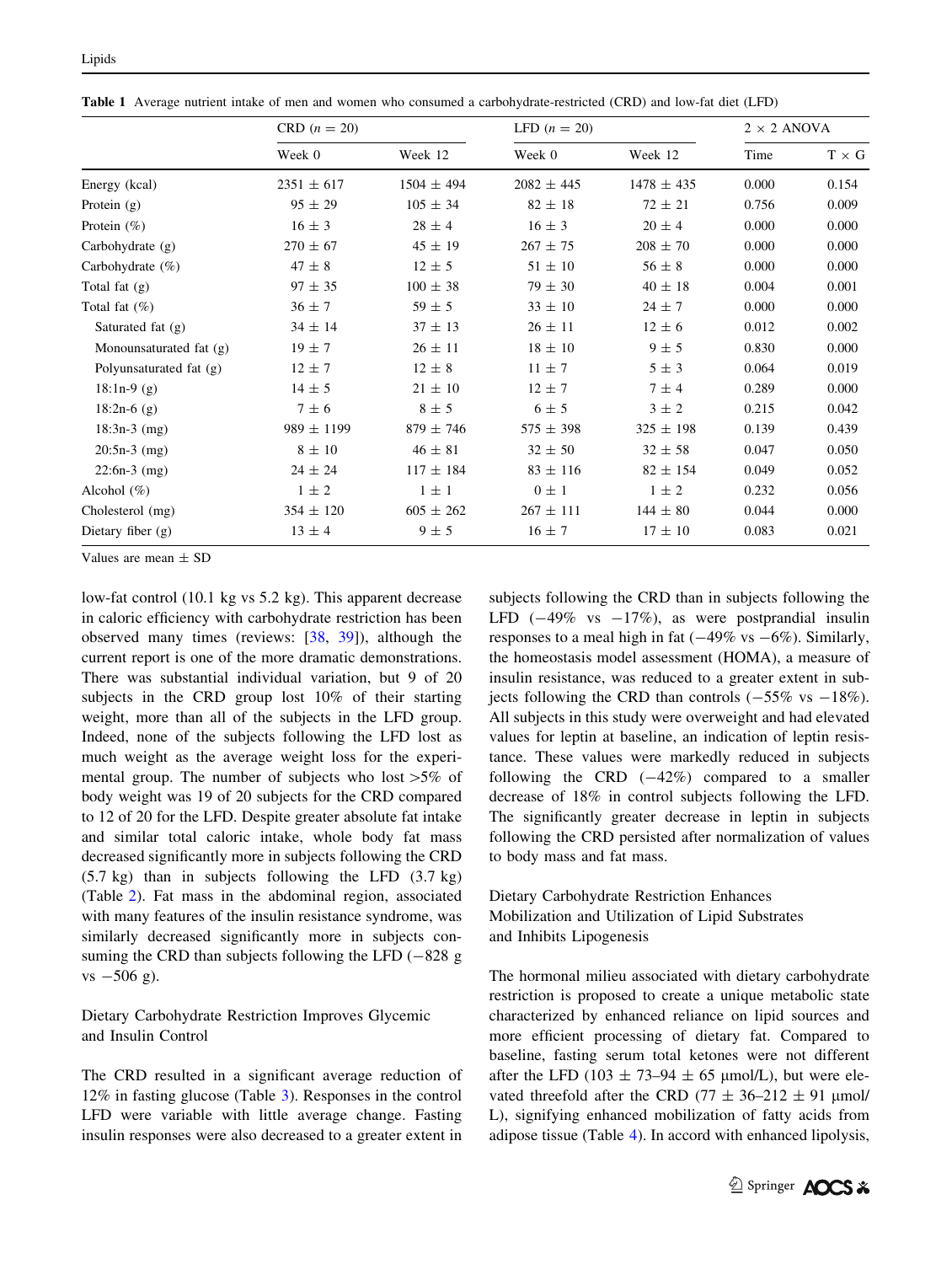<span id="page-4-0"></span>Table 1 Average nutrient intake of men and women who consumed a carbohydrate-restricted (CRD) and low-fat diet (LFD)

|                           | $CRD (n = 20)$ |                | LFD $(n = 20)$ |                | $2 \times 2$ ANOVA |              |
|---------------------------|----------------|----------------|----------------|----------------|--------------------|--------------|
|                           | Week 0         | Week 12        | Week 0         | Week 12        | Time               | $T \times G$ |
| Energy (kcal)             | $2351 \pm 617$ | $1504 \pm 494$ | $2082 \pm 445$ | $1478 \pm 435$ | 0.000              | 0.154        |
| Protein $(g)$             | $95 \pm 29$    | $105 \pm 34$   | $82 \pm 18$    | $72 \pm 21$    | 0.756              | 0.009        |
| Protein $(\%)$            | $16 \pm 3$     | $28 \pm 4$     | $16 \pm 3$     | $20 \pm 4$     | 0.000              | 0.000        |
| Carbohydrate $(g)$        | $270 \pm 67$   | $45 \pm 19$    | $267 \pm 75$   | $208 \pm 70$   | 0.000              | 0.000        |
| Carbohydrate $(\% )$      | $47 \pm 8$     | $12 \pm 5$     | $51 \pm 10$    | $56 \pm 8$     | 0.000              | 0.000        |
| Total fat $(g)$           | $97 \pm 35$    | $100 \pm 38$   | $79 \pm 30$    | $40 \pm 18$    | 0.004              | 0.001        |
| Total fat $(\%)$          | $36 \pm 7$     | $59 \pm 5$     | $33 \pm 10$    | $24 \pm 7$     | 0.000              | 0.000        |
| Saturated fat $(g)$       | $34 \pm 14$    | $37 \pm 13$    | $26 \pm 11$    | $12 \pm 6$     | 0.012              | 0.002        |
| Monounsaturated fat (g)   | $19 \pm 7$     | $26 \pm 11$    | $18 \pm 10$    | $9 \pm 5$      | 0.830              | 0.000        |
| Polyunsaturated fat $(g)$ | $12 \pm 7$     | $12 \pm 8$     | $11 \pm 7$     | $5 \pm 3$      | 0.064              | 0.019        |
| $18:1n-9(g)$              | $14 \pm 5$     | $21 \pm 10$    | $12 \pm 7$     | $7 \pm 4$      | 0.289              | 0.000        |
| $18:2n-6(g)$              | $7 \pm 6$      | $8 \pm 5$      | $6 \pm 5$      | $3 \pm 2$      | 0.215              | 0.042        |
| $18:3n-3$ (mg)            | $989 \pm 1199$ | $879 \pm 746$  | $575 \pm 398$  | $325 \pm 198$  | 0.139              | 0.439        |
| $20:5n-3$ (mg)            | $8 \pm 10$     | $46 \pm 81$    | $32 \pm 50$    | $32 \pm 58$    | 0.047              | 0.050        |
| $22:6n-3$ (mg)            | $24 \pm 24$    | $117 \pm 184$  | $83 \pm 116$   | $82 \pm 154$   | 0.049              | 0.052        |
| Alcohol $(\%)$            | $1 \pm 2$      | $1 \pm 1$      | $0 \pm 1$      | $1 \pm 2$      | 0.232              | 0.056        |
| Cholesterol (mg)          | $354 \pm 120$  | $605 \pm 262$  | $267 \pm 111$  | $144 \pm 80$   | 0.044              | 0.000        |
| Dietary fiber $(g)$       | $13 \pm 4$     | $9 \pm 5$      | $16 \pm 7$     | $17 \pm 10$    | 0.083              | 0.021        |

Values are mean  $+$  SD

low-fat control (10.1 kg vs 5.2 kg). This apparent decrease in caloric efficiency with carbohydrate restriction has been observed many times (reviews: [[38,](#page-12-0) [39\]](#page-12-0)), although the current report is one of the more dramatic demonstrations. There was substantial individual variation, but 9 of 20 subjects in the CRD group lost 10% of their starting weight, more than all of the subjects in the LFD group. Indeed, none of the subjects following the LFD lost as much weight as the average weight loss for the experimental group. The number of subjects who lost  $>5\%$  of body weight was 19 of 20 subjects for the CRD compared to 12 of 20 for the LFD. Despite greater absolute fat intake and similar total caloric intake, whole body fat mass decreased significantly more in subjects following the CRD (5.7 kg) than in subjects following the LFD (3.7 kg) (Table [2](#page-5-0)). Fat mass in the abdominal region, associated with many features of the insulin resistance syndrome, was similarly decreased significantly more in subjects consuming the CRD than subjects following the LFD  $(-828 \text{ g})$  $vs -506$  g).

Dietary Carbohydrate Restriction Improves Glycemic and Insulin Control

The CRD resulted in a significant average reduction of 12% in fasting glucose (Table [3](#page-5-0)). Responses in the control LFD were variable with little average change. Fasting insulin responses were also decreased to a greater extent in subjects following the CRD than in subjects following the LFD  $(-49\% \text{ vs } -17\%)$ , as were postprandial insulin responses to a meal high in fat  $(-49\% \text{ vs } -6\%)$ . Similarly, the homeostasis model assessment (HOMA), a measure of insulin resistance, was reduced to a greater extent in subjects following the CRD than controls  $(-55\% \text{ vs } -18\%).$ All subjects in this study were overweight and had elevated values for leptin at baseline, an indication of leptin resistance. These values were markedly reduced in subjects following the CRD  $(-42%)$  compared to a smaller decrease of 18% in control subjects following the LFD. The significantly greater decrease in leptin in subjects following the CRD persisted after normalization of values to body mass and fat mass.

# Dietary Carbohydrate Restriction Enhances Mobilization and Utilization of Lipid Substrates and Inhibits Lipogenesis

The hormonal milieu associated with dietary carbohydrate restriction is proposed to create a unique metabolic state characterized by enhanced reliance on lipid sources and more efficient processing of dietary fat. Compared to baseline, fasting serum total ketones were not different after the LFD (103  $\pm$  73–94  $\pm$  65 µmol/L), but were elevated threefold after the CRD (77  $\pm$  36–212  $\pm$  91 µmol/ L), signifying enhanced mobilization of fatty acids from adipose tissue (Table [4\)](#page-5-0). In accord with enhanced lipolysis,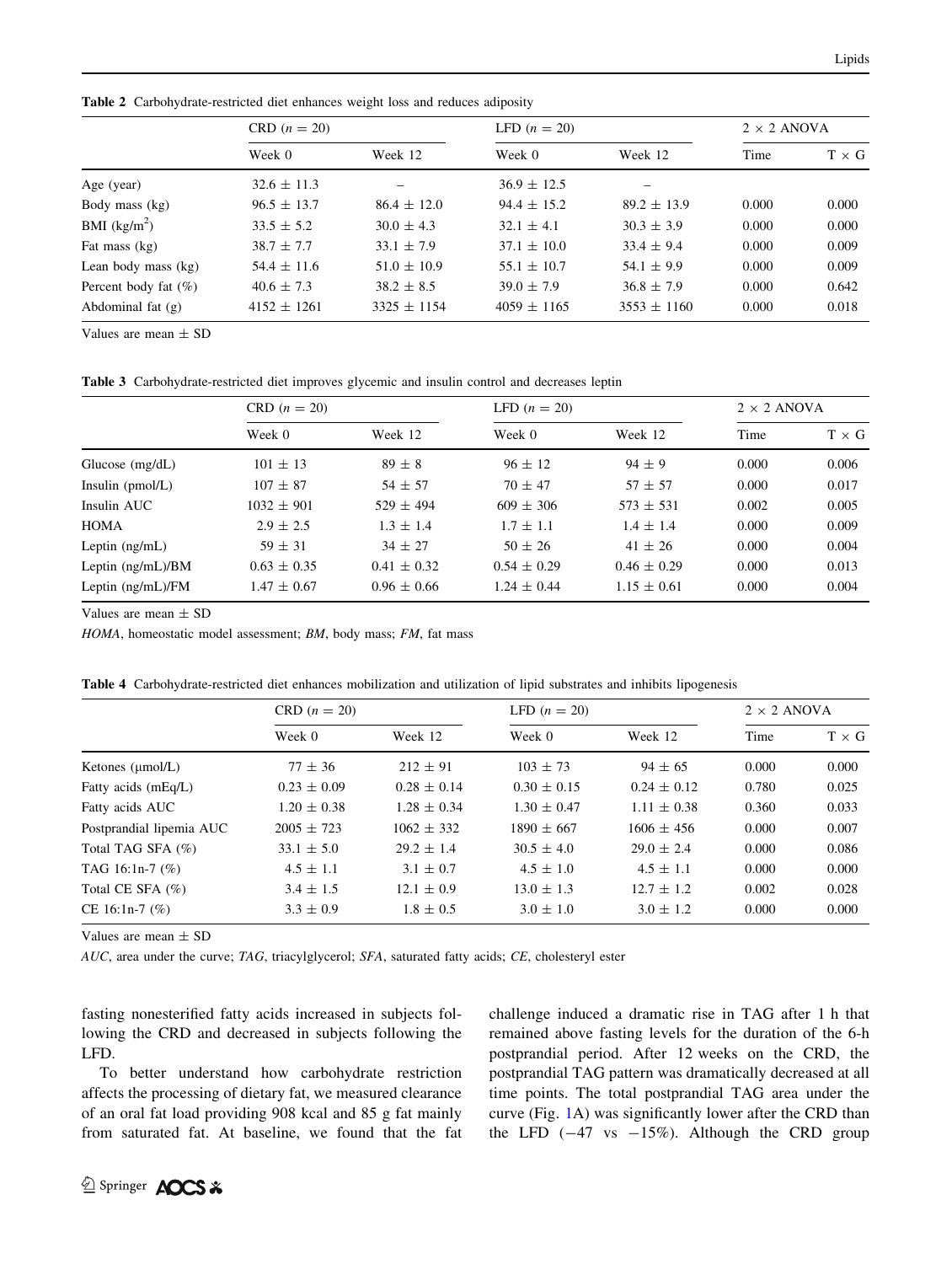<span id="page-5-0"></span>Table 2 Carbohydrate-restricted diet enhances weight loss and reduces adiposity

|                         | $CRD (n = 20)$  |                 | LFD $(n = 20)$  |                 | $2 \times 2$ ANOVA |              |
|-------------------------|-----------------|-----------------|-----------------|-----------------|--------------------|--------------|
|                         | Week 0          | Week 12         | Week 0          | Week 12         | Time               | $T \times G$ |
| Age (year)              | $32.6 \pm 11.3$ |                 | $36.9 \pm 12.5$ |                 |                    |              |
| Body mass (kg)          | $96.5 \pm 13.7$ | $86.4 \pm 12.0$ | $94.4 \pm 15.2$ | $89.2 \pm 13.9$ | 0.000              | 0.000        |
| BMI $(kg/m^2)$          | $33.5 \pm 5.2$  | $30.0 \pm 4.3$  | $32.1 \pm 4.1$  | $30.3 \pm 3.9$  | 0.000              | 0.000        |
| Fat mass (kg)           | $38.7 \pm 7.7$  | $33.1 \pm 7.9$  | $37.1 \pm 10.0$ | $33.4 \pm 9.4$  | 0.000              | 0.009        |
| Lean body mass (kg)     | $54.4 \pm 11.6$ | $51.0 \pm 10.9$ | $55.1 \pm 10.7$ | $54.1 \pm 9.9$  | 0.000              | 0.009        |
| Percent body fat $(\%)$ | $40.6 \pm 7.3$  | $38.2 \pm 8.5$  | $39.0 \pm 7.9$  | $36.8 \pm 7.9$  | 0.000              | 0.642        |
| Abdominal fat $(g)$     | $4152 \pm 1261$ | $3325 \pm 1154$ | $4059 \pm 1165$ | $3553 \pm 1160$ | 0.000              | 0.018        |

Values are mean  $\pm$  SD

Table 3 Carbohydrate-restricted diet improves glycemic and insulin control and decreases leptin

|                     | $CRD (n = 20)$  |                 | LFD $(n = 20)$  |                 | $2 \times 2$ ANOVA |              |
|---------------------|-----------------|-----------------|-----------------|-----------------|--------------------|--------------|
|                     | Week 0          | Week 12         | Week 0          | Week 12         | Time               | $T \times G$ |
| Glucose $(mg/dL)$   | $101 \pm 13$    | $89 \pm 8$      | $96 \pm 12$     | $94 \pm 9$      | 0.000              | 0.006        |
| Insulin $(pmol/L)$  | $107 + 87$      | $54 \pm 57$     | $70 + 47$       | $57 + 57$       | 0.000              | 0.017        |
| Insulin AUC         | $1032 \pm 901$  | $529 \pm 494$   | $609 \pm 306$   | $573 + 531$     | 0.002              | 0.005        |
| <b>HOMA</b>         | $2.9 \pm 2.5$   | $1.3 \pm 1.4$   | $1.7 \pm 1.1$   | $1.4 \pm 1.4$   | 0.000              | 0.009        |
| Leptin $(ng/mL)$    | $59 \pm 31$     | $34 \pm 27$     | $50 \pm 26$     | $41 \pm 26$     | 0.000              | 0.004        |
| Leptin $(ng/mL)/BM$ | $0.63 \pm 0.35$ | $0.41 \pm 0.32$ | $0.54 \pm 0.29$ | $0.46 \pm 0.29$ | 0.000              | 0.013        |
| Leptin $(ng/mL)/FM$ | $1.47 \pm 0.67$ | $0.96 \pm 0.66$ | $1.24 \pm 0.44$ | $1.15 \pm 0.61$ | 0.000              | 0.004        |

Values are mean  $\pm$  SD

HOMA, homeostatic model assessment; BM, body mass; FM, fat mass

|  | Table 4 Carbohydrate-restricted diet enhances mobilization and utilization of lipid substrates and inhibits lipogenesis |  |  |  |  |  |  |  |
|--|-------------------------------------------------------------------------------------------------------------------------|--|--|--|--|--|--|--|
|--|-------------------------------------------------------------------------------------------------------------------------|--|--|--|--|--|--|--|

|                          | CRD $(n = 20)$  |                 | LFD $(n = 20)$  | $2 \times 2$ ANOVA |       |              |
|--------------------------|-----------------|-----------------|-----------------|--------------------|-------|--------------|
|                          | Week 0          | Week 12         | Week 0          | Week 12            | Time  | $T \times G$ |
| Ketones $(\mu$ mol/L)    | $77 \pm 36$     | $212 \pm 91$    | $103 \pm 73$    | $94 \pm 65$        | 0.000 | 0.000        |
| Fatty acids (mEq/L)      | $0.23 \pm 0.09$ | $0.28 \pm 0.14$ | $0.30 \pm 0.15$ | $0.24 \pm 0.12$    | 0.780 | 0.025        |
| Fatty acids AUC          | $1.20 \pm 0.38$ | $1.28 \pm 0.34$ | $1.30 \pm 0.47$ | $1.11 \pm 0.38$    | 0.360 | 0.033        |
| Postprandial lipemia AUC | $2005 \pm 723$  | $1062 \pm 332$  | $1890 \pm 667$  | $1606 \pm 456$     | 0.000 | 0.007        |
| Total TAG SFA (%)        | $33.1 \pm 5.0$  | $29.2 \pm 1.4$  | $30.5 \pm 4.0$  | $29.0 \pm 2.4$     | 0.000 | 0.086        |
| TAG 16:1n-7 $(\%)$       | $4.5 \pm 1.1$   | $3.1 \pm 0.7$   | $4.5 \pm 1.0$   | $4.5 \pm 1.1$      | 0.000 | 0.000        |
| Total CE SFA $(\%)$      | $3.4 \pm 1.5$   | $12.1 \pm 0.9$  | $13.0 \pm 1.3$  | $12.7 \pm 1.2$     | 0.002 | 0.028        |
| CE 16:1n-7 $(\%)$        | $3.3 \pm 0.9$   | $1.8 \pm 0.5$   | $3.0 \pm 1.0$   | $3.0 \pm 1.2$      | 0.000 | 0.000        |

Values are mean  $\pm$  SD

AUC, area under the curve; TAG, triacylglycerol; SFA, saturated fatty acids; CE, cholesteryl ester

fasting nonesterified fatty acids increased in subjects following the CRD and decreased in subjects following the LFD.

To better understand how carbohydrate restriction affects the processing of dietary fat, we measured clearance of an oral fat load providing 908 kcal and 85 g fat mainly from saturated fat. At baseline, we found that the fat challenge induced a dramatic rise in TAG after 1 h that remained above fasting levels for the duration of the 6-h postprandial period. After 12 weeks on the CRD, the postprandial TAG pattern was dramatically decreased at all time points. The total postprandial TAG area under the curve (Fig. [1A](#page-6-0)) was significantly lower after the CRD than the LFD  $(-47 \text{ vs } -15\%)$ . Although the CRD group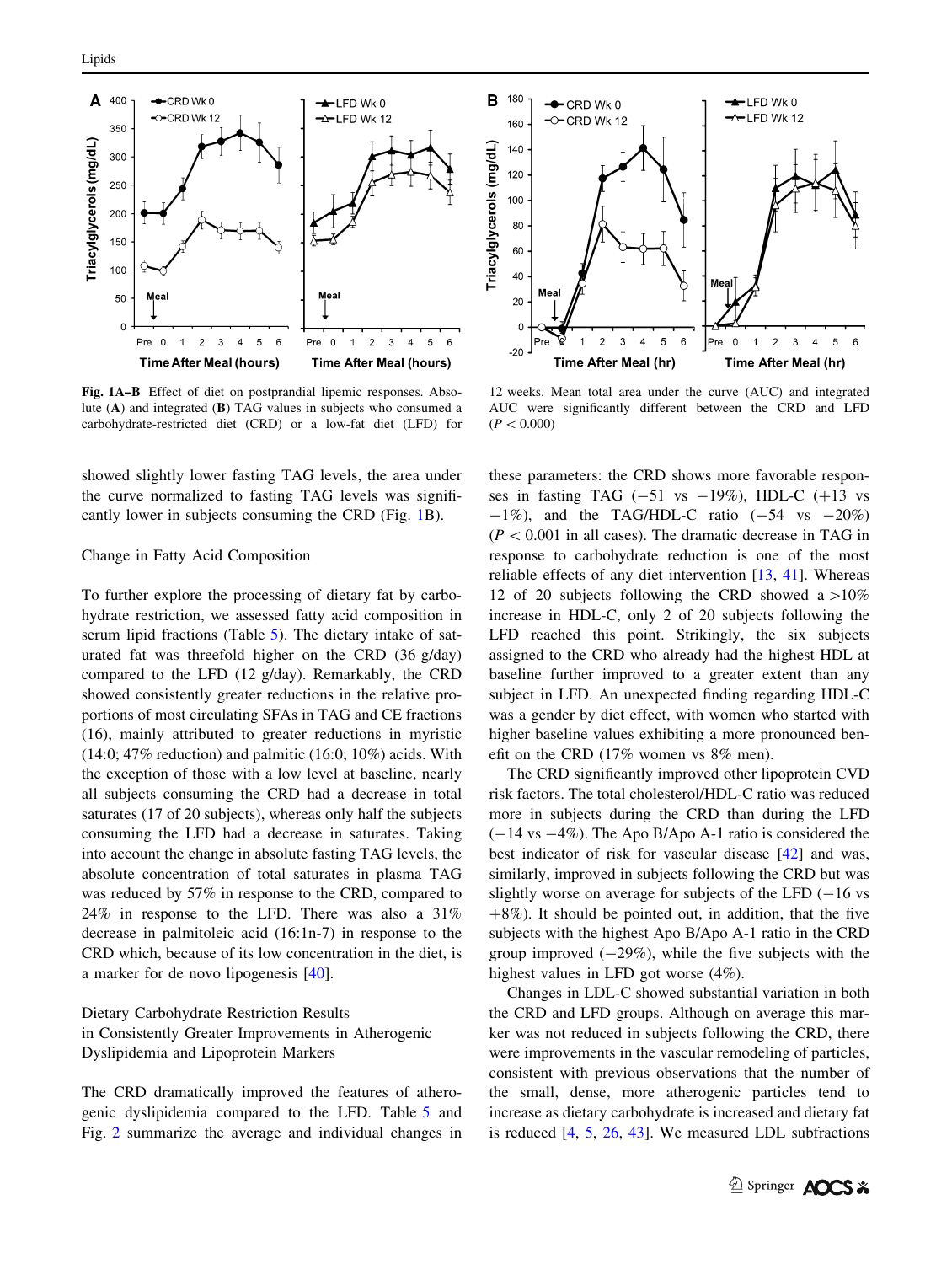<span id="page-6-0"></span>

Fig. 1A–B Effect of diet on postprandial lipemic responses. Absolute (A) and integrated (B) TAG values in subjects who consumed a carbohydrate-restricted diet (CRD) or a low-fat diet (LFD) for

showed slightly lower fasting TAG levels, the area under the curve normalized to fasting TAG levels was significantly lower in subjects consuming the CRD (Fig. 1B).

## Change in Fatty Acid Composition

To further explore the processing of dietary fat by carbohydrate restriction, we assessed fatty acid composition in serum lipid fractions (Table [5](#page-7-0)). The dietary intake of saturated fat was threefold higher on the CRD (36 g/day) compared to the LFD (12 g/day). Remarkably, the CRD showed consistently greater reductions in the relative proportions of most circulating SFAs in TAG and CE fractions (16), mainly attributed to greater reductions in myristic  $(14:0; 47\%$  reduction) and palmitic  $(16:0; 10\%)$  acids. With the exception of those with a low level at baseline, nearly all subjects consuming the CRD had a decrease in total saturates (17 of 20 subjects), whereas only half the subjects consuming the LFD had a decrease in saturates. Taking into account the change in absolute fasting TAG levels, the absolute concentration of total saturates in plasma TAG was reduced by 57% in response to the CRD, compared to 24% in response to the LFD. There was also a 31% decrease in palmitoleic acid (16:1n-7) in response to the CRD which, because of its low concentration in the diet, is a marker for de novo lipogenesis [\[40](#page-12-0)].

Dietary Carbohydrate Restriction Results in Consistently Greater Improvements in Atherogenic Dyslipidemia and Lipoprotein Markers

The CRD dramatically improved the features of atherogenic dyslipidemia compared to the LFD. Table [5](#page-7-0) and Fig. [2](#page-8-0) summarize the average and individual changes in



12 weeks. Mean total area under the curve (AUC) and integrated AUC were significantly different between the CRD and LFD  $(P<0.000)$ 

these parameters: the CRD shows more favorable responses in fasting TAG  $(-51 \text{ vs } -19\%)$ , HDL-C  $(+13 \text{ vs } -19\%)$  $-1\%$ ), and the TAG/HDL-C ratio ( $-54$  vs  $-20\%$ )  $(P<0.001$  in all cases). The dramatic decrease in TAG in response to carbohydrate reduction is one of the most reliable effects of any diet intervention [[13,](#page-11-0) [41\]](#page-12-0). Whereas 12 of 20 subjects following the CRD showed a  $>10\%$ increase in HDL-C, only 2 of 20 subjects following the LFD reached this point. Strikingly, the six subjects assigned to the CRD who already had the highest HDL at baseline further improved to a greater extent than any subject in LFD. An unexpected finding regarding HDL-C was a gender by diet effect, with women who started with higher baseline values exhibiting a more pronounced benefit on the CRD (17% women vs 8% men).

The CRD significantly improved other lipoprotein CVD risk factors. The total cholesterol/HDL-C ratio was reduced more in subjects during the CRD than during the LFD  $(-14 \text{ vs } -4\%)$ . The Apo B/Apo A-1 ratio is considered the best indicator of risk for vascular disease [[42\]](#page-12-0) and was, similarly, improved in subjects following the CRD but was slightly worse on average for subjects of the LFD  $(-16 \text{ vs }$  $+8\%$ ). It should be pointed out, in addition, that the five subjects with the highest Apo B/Apo A-1 ratio in the CRD group improved  $(-29\%)$ , while the five subjects with the highest values in LFD got worse (4%).

Changes in LDL-C showed substantial variation in both the CRD and LFD groups. Although on average this marker was not reduced in subjects following the CRD, there were improvements in the vascular remodeling of particles, consistent with previous observations that the number of the small, dense, more atherogenic particles tend to increase as dietary carbohydrate is increased and dietary fat is reduced [\[4](#page-11-0), [5](#page-11-0), [26](#page-11-0), [43](#page-12-0)]. We measured LDL subfractions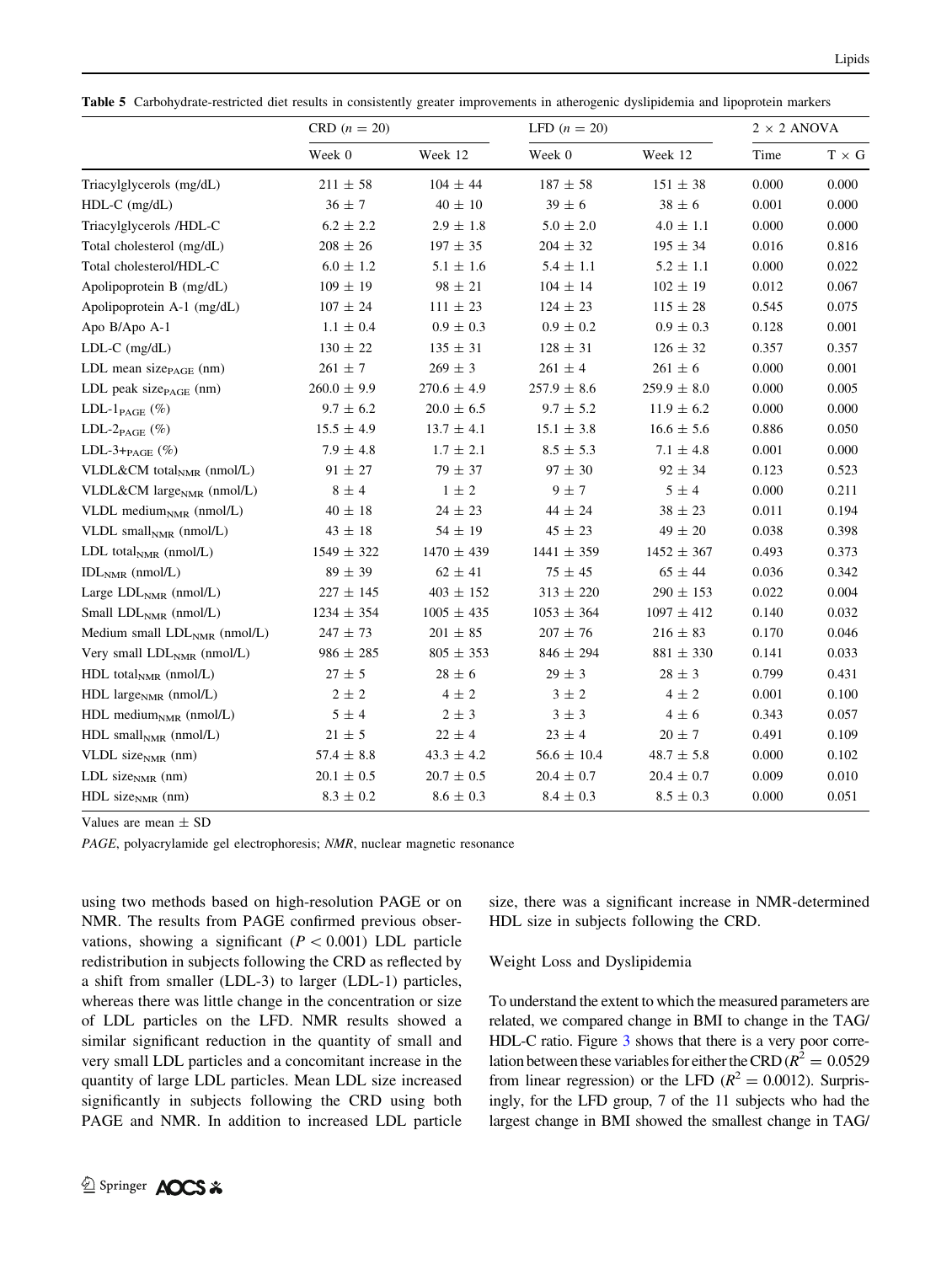<span id="page-7-0"></span>Table 5 Carbohydrate-restricted diet results in consistently greater improvements in atherogenic dyslipidemia and lipoprotein markers

|                                          | CRD $(n = 20)$  |                 | LFD $(n = 20)$  |                       | $2 \times 2$ ANOVA |              |
|------------------------------------------|-----------------|-----------------|-----------------|-----------------------|--------------------|--------------|
|                                          | Week 0          | Week 12         | Week 0          | Week 12               | Time               | $T \times G$ |
| Triacylglycerols (mg/dL)                 | $211 \pm 58$    | $104 \pm 44$    | $187 + 58$      | $151 \pm 38$          | 0.000              | 0.000        |
| $HDL-C$ (mg/dL)                          | $36\pm7$        | $40\,\pm\,10$   | $39\pm6$        | $38\,\pm\,6$          | 0.001              | 0.000        |
| Triacylglycerols /HDL-C                  | $6.2 \pm 2.2$   | $2.9 \pm 1.8$   | $5.0 \pm 2.0$   | $4.0 \pm 1.1$         | 0.000              | 0.000        |
| Total cholesterol (mg/dL)                | $208 \pm 26$    | $197\,\pm\,35$  | $204 \pm 32$    | $195 \pm 34$          | 0.016              | 0.816        |
| Total cholesterol/HDL-C                  | $6.0 \pm 1.2$   | $5.1 \pm 1.6$   | $5.4 \pm 1.1$   | $5.2 \pm 1.1$         | 0.000              | 0.022        |
| Apolipoprotein B (mg/dL)                 | $109 \pm 19$    | $98 \pm 21$     | $104 \pm 14$    | $102 \pm 19$          | 0.012              | 0.067        |
| Apolipoprotein A-1 (mg/dL)               | $107 \pm 24$    | $111 \pm 23$    | $124 \pm 23$    | $115 \pm 28$          | 0.545              | 0.075        |
| Apo B/Apo A-1                            | $1.1 \pm 0.4$   | $0.9 \pm 0.3$   | $0.9 \pm 0.2$   | $0.9 \pm 0.3$         | 0.128              | 0.001        |
| $LDL-C$ (mg/dL)                          | $130 \pm 22$    | $135 \pm 31$    | $128 \pm 31$    | $126 \pm 32$          | 0.357              | 0.357        |
| LDL mean size $_{\text{PAGE}}$ (nm)      | $261 \pm 7$     | $269\pm3$       | $261 \pm 4$     | $261 \pm 6$           | 0.000              | 0.001        |
| LDL peak size $_{\text{PAGE}}$ (nm)      | $260.0 \pm 9.9$ | $270.6 \pm 4.9$ | $257.9 \pm 8.6$ | $259.9$ $\pm$ $\,8.0$ | 0.000              | 0.005        |
| LDL-1 $_{\rm PAGE}$ $(\%)$               | $9.7 \pm 6.2$   | $20.0 \pm 6.5$  | $9.7 \pm 5.2$   | $11.9 \pm 6.2$        | 0.000              | 0.000        |
| LDL- $2_{\text{PAGE}}$ (%)               | $15.5 \pm 4.9$  | $13.7 \pm 4.1$  | $15.1 \pm 3.8$  | $16.6 \pm 5.6$        | 0.886              | 0.050        |
| LDL-3+ $_{\mathrm{PAGE}}$ (%)            | $7.9 \pm 4.8$   | $1.7 \pm 2.1$   | $8.5 \pm 5.3$   | $7.1 \pm 4.8$         | 0.001              | 0.000        |
| VLDL&CM total <sub>NMR</sub> (nmol/L)    | $91 \pm 27$     | $79 \pm 37$     | $97 \pm 30$     | $92 \pm 34$           | 0.123              | 0.523        |
| VLDL&CM $large_{NMR}$ (nmol/L)           | $8\,\pm\,4$     | $1 \pm 2$       | $9 \pm 7$       | $5\pm4$               | 0.000              | 0.211        |
| VLDL medium $_{NMR}$ (nmol/L)            | $40 \pm 18$     | $24 \pm 23$     | $44 \pm 24$     | $38\,\pm\,23$         | 0.011              | 0.194        |
| VLDL small $_{\text{NMR}}$ (nmol/L)      | $43\,\pm\,18$   | $54 \pm 19$     | $45 \pm 23$     | $49 \pm 20$           | 0.038              | 0.398        |
| LDL total <sub>NMR</sub> (nmol/L)        | $1549 \pm 322$  | $1470 \pm 439$  | $1441 \pm 359$  | $1452 \pm 367$        | 0.493              | 0.373        |
| $IDLNMR$ (nmol/L)                        | $89 \pm 39$     | $62 \pm 41$     | $75\,\pm\,45$   | $65 \pm 44$           | 0.036              | 0.342        |
| Large $LDLNMR$ (nmol/L)                  | $227 \pm 145$   | $403 \pm 152$   | $313 \pm 220$   | $290 \pm 153$         | 0.022              | 0.004        |
| Small $LDLNMR$ (nmol/L)                  | $1234 \pm 354$  | $1005 \pm 435$  | $1053 \pm 364$  | $1097 \pm 412$        | 0.140              | 0.032        |
| Medium small LDL <sub>NMR</sub> (nmol/L) | $247 \pm 73$    | $201\,\pm\,85$  | $207\,\pm\,76$  | $216 \pm 83$          | 0.170              | 0.046        |
| Very small $LDLNMR$ (nmol/L)             | $986 \pm 285$   | $805 \pm 353$   | $846 \pm 294$   | $881 \pm 330$         | 0.141              | 0.033        |
| HDL total <sub>NMR</sub> (nmol/L)        | $27 \pm 5$      | $28\,\pm\,6$    | $29\,\pm\,3$    | $28\,\pm\,3$          | 0.799              | 0.431        |
| HDL large $_{NMR}$ (nmol/L)              | $2 \pm 2$       | $4 \pm 2$       | $3 \pm 2$       | $4 \pm 2$             | 0.001              | 0.100        |
| HDL medium <sub>NMR</sub> (nmol/L)       | $5 \pm 4$       | $2 \pm 3$       | $3 \pm 3$       | $4 \pm 6$             | 0.343              | 0.057        |
| $HDL$ small <sub>NMR</sub> (nmol/L)      | $21 \pm 5$      | $22 \pm 4$      | $23 \pm 4$      | $20 \pm 7$            | 0.491              | 0.109        |
| VLDL size $_{NMR}$ (nm)                  | $57.4 \pm 8.8$  | $43.3 \pm 4.2$  | $56.6 \pm 10.4$ | $48.7 \pm 5.8$        | 0.000              | 0.102        |
| LDL size $_{NMR}$ (nm)                   | $20.1 \pm 0.5$  | $20.7 \pm 0.5$  | $20.4 \pm 0.7$  | $20.4 \pm 0.7$        | 0.009              | 0.010        |
| $HDL$ size <sub>NMR</sub> (nm)           | $8.3\,\pm\,0.2$ | $8.6\,\pm\,0.3$ | $8.4 \pm 0.3$   | $8.5 \pm 0.3$         | 0.000              | 0.051        |

Values are mean  $\pm$  SD

PAGE, polyacrylamide gel electrophoresis; NMR, nuclear magnetic resonance

using two methods based on high-resolution PAGE or on NMR. The results from PAGE confirmed previous observations, showing a significant ( $P < 0.001$ ) LDL particle redistribution in subjects following the CRD as reflected by a shift from smaller (LDL-3) to larger (LDL-1) particles, whereas there was little change in the concentration or size of LDL particles on the LFD. NMR results showed a similar significant reduction in the quantity of small and very small LDL particles and a concomitant increase in the quantity of large LDL particles. Mean LDL size increased significantly in subjects following the CRD using both PAGE and NMR. In addition to increased LDL particle size, there was a significant increase in NMR-determined HDL size in subjects following the CRD.

## Weight Loss and Dyslipidemia

To understand the extent to which the measured parameters are related, we compared change in BMI to change in the TAG/ HDL-C ratio. Figure [3](#page-8-0) shows that there is a very poor correlation between these variables for either the CRD ( $R^2 = 0.0529$ ) from linear regression) or the LFD ( $R^2 = 0.0012$ ). Surprisingly, for the LFD group, 7 of the 11 subjects who had the largest change in BMI showed the smallest change in TAG/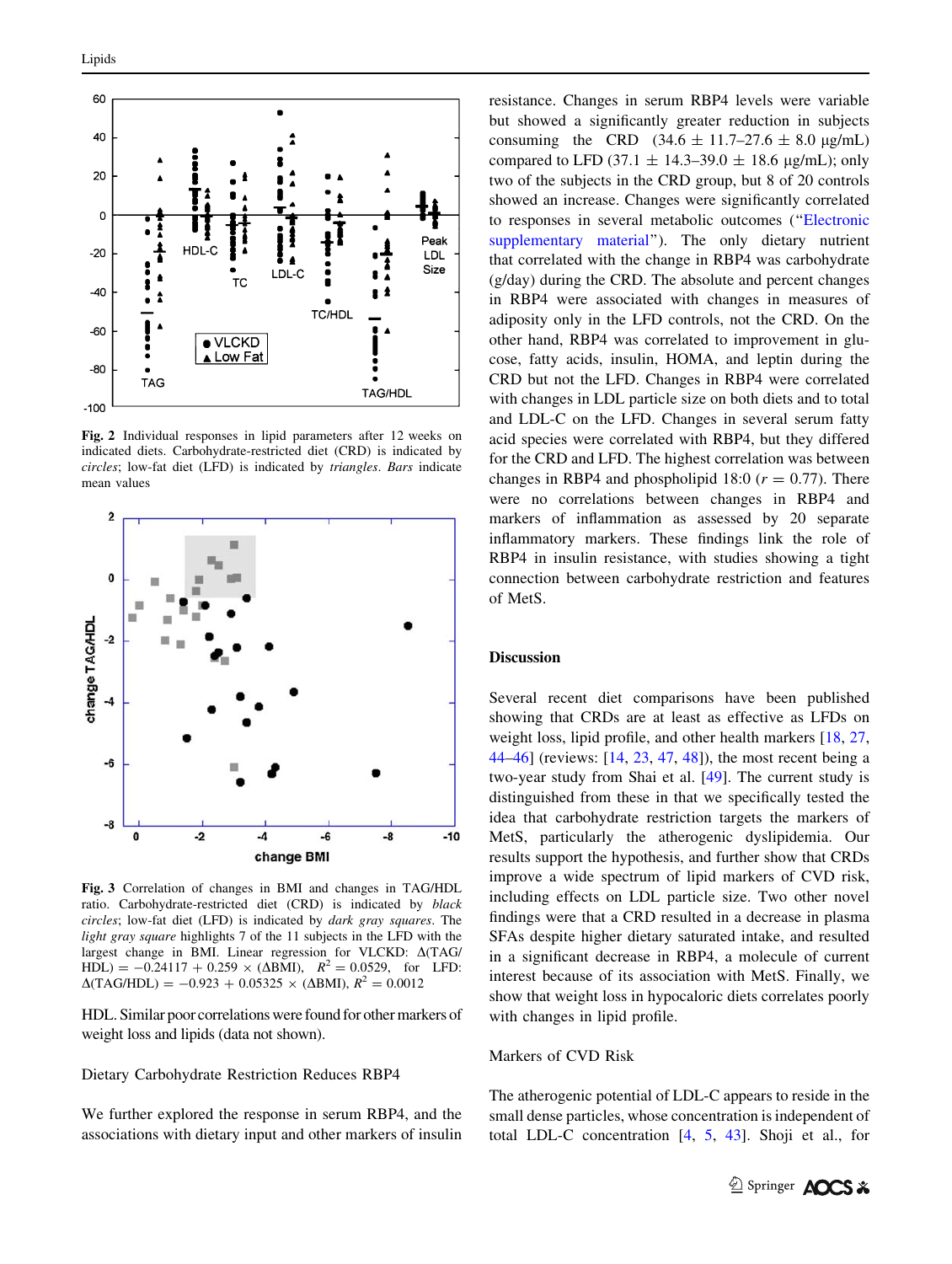<span id="page-8-0"></span>

Fig. 2 Individual responses in lipid parameters after 12 weeks on indicated diets. Carbohydrate-restricted diet (CRD) is indicated by circles; low-fat diet (LFD) is indicated by triangles. Bars indicate mean values



Fig. 3 Correlation of changes in BMI and changes in TAG/HDL ratio. Carbohydrate-restricted diet (CRD) is indicated by black circles; low-fat diet (LFD) is indicated by dark gray squares. The light gray square highlights 7 of the 11 subjects in the LFD with the largest change in BMI. Linear regression for VLCKD:  $\Delta(TAG)$  $HDL = -0.24117 + 0.259 \times (\Delta BMI), R^2 = 0.0529$ , for LFD:  $\Delta$ (TAG/HDL) = -0.923 + 0.05325 × ( $\Delta$ BMI),  $R^2$  = 0.0012

HDL. Similar poor correlations were found for other markers of weight loss and lipids (data not shown).

Dietary Carbohydrate Restriction Reduces RBP4

We further explored the response in serum RBP4, and the associations with dietary input and other markers of insulin resistance. Changes in serum RBP4 levels were variable but showed a significantly greater reduction in subjects consuming the CRD  $(34.6 \pm 11.7 - 27.6 \pm 8.0 \text{ µg/mL})$ compared to LFD (37.1  $\pm$  14.3–39.0  $\pm$  18.6 µg/mL); only two of the subjects in the CRD group, but 8 of 20 controls showed an increase. Changes were significantly correlated to responses in several metabolic outcomes (''Electronic supplementary material''). The only dietary nutrient that correlated with the change in RBP4 was carbohydrate (g/day) during the CRD. The absolute and percent changes in RBP4 were associated with changes in measures of adiposity only in the LFD controls, not the CRD. On the other hand, RBP4 was correlated to improvement in glucose, fatty acids, insulin, HOMA, and leptin during the CRD but not the LFD. Changes in RBP4 were correlated with changes in LDL particle size on both diets and to total and LDL-C on the LFD. Changes in several serum fatty acid species were correlated with RBP4, but they differed for the CRD and LFD. The highest correlation was between changes in RBP4 and phospholipid 18:0 ( $r = 0.77$ ). There were no correlations between changes in RBP4 and markers of inflammation as assessed by 20 separate inflammatory markers. These findings link the role of RBP4 in insulin resistance, with studies showing a tight connection between carbohydrate restriction and features of MetS.

#### Discussion

Several recent diet comparisons have been published showing that CRDs are at least as effective as LFDs on weight loss, lipid profile, and other health markers [\[18](#page-11-0), [27,](#page-11-0) [44–46](#page-12-0)] (reviews: [[14,](#page-11-0) [23](#page-11-0), [47,](#page-12-0) [48](#page-12-0)]), the most recent being a two-year study from Shai et al. [\[49](#page-12-0)]. The current study is distinguished from these in that we specifically tested the idea that carbohydrate restriction targets the markers of MetS, particularly the atherogenic dyslipidemia. Our results support the hypothesis, and further show that CRDs improve a wide spectrum of lipid markers of CVD risk, including effects on LDL particle size. Two other novel findings were that a CRD resulted in a decrease in plasma SFAs despite higher dietary saturated intake, and resulted in a significant decrease in RBP4, a molecule of current interest because of its association with MetS. Finally, we show that weight loss in hypocaloric diets correlates poorly with changes in lipid profile.

### Markers of CVD Risk

The atherogenic potential of LDL-C appears to reside in the small dense particles, whose concentration is independent of total LDL-C concentration [[4,](#page-11-0) [5,](#page-11-0) [43\]](#page-12-0). Shoji et al., for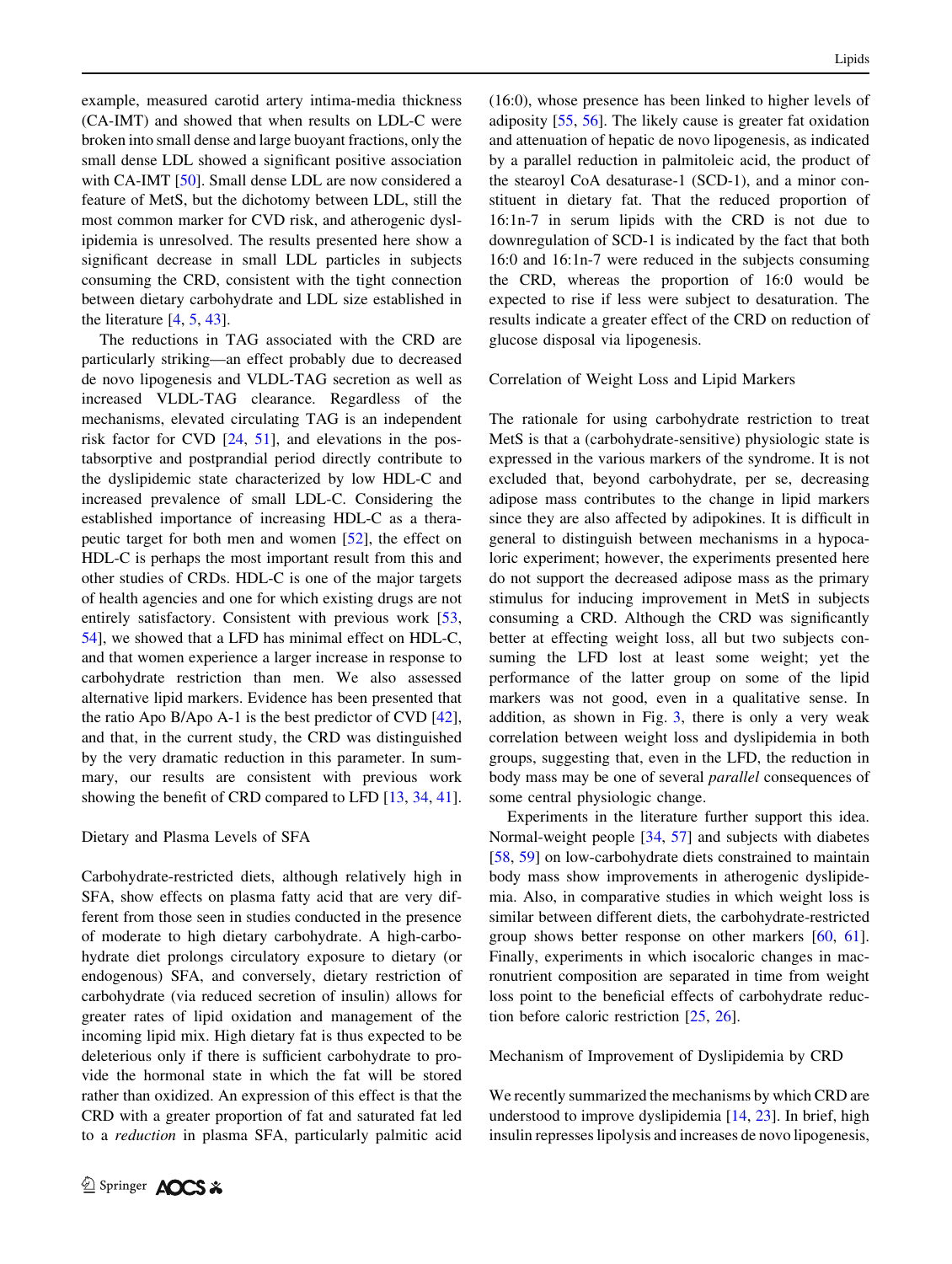example, measured carotid artery intima-media thickness (CA-IMT) and showed that when results on LDL-C were broken into small dense and large buoyant fractions, only the small dense LDL showed a significant positive association with CA-IMT [[50\]](#page-12-0). Small dense LDL are now considered a feature of MetS, but the dichotomy between LDL, still the most common marker for CVD risk, and atherogenic dyslipidemia is unresolved. The results presented here show a significant decrease in small LDL particles in subjects consuming the CRD, consistent with the tight connection between dietary carbohydrate and LDL size established in the literature [\[4](#page-11-0), [5](#page-11-0), [43\]](#page-12-0).

The reductions in TAG associated with the CRD are particularly striking—an effect probably due to decreased de novo lipogenesis and VLDL-TAG secretion as well as increased VLDL-TAG clearance. Regardless of the mechanisms, elevated circulating TAG is an independent risk factor for CVD [[24,](#page-11-0) [51](#page-12-0)], and elevations in the postabsorptive and postprandial period directly contribute to the dyslipidemic state characterized by low HDL-C and increased prevalence of small LDL-C. Considering the established importance of increasing HDL-C as a therapeutic target for both men and women [\[52](#page-12-0)], the effect on HDL-C is perhaps the most important result from this and other studies of CRDs. HDL-C is one of the major targets of health agencies and one for which existing drugs are not entirely satisfactory. Consistent with previous work [[53,](#page-12-0) [54\]](#page-12-0), we showed that a LFD has minimal effect on HDL-C, and that women experience a larger increase in response to carbohydrate restriction than men. We also assessed alternative lipid markers. Evidence has been presented that the ratio Apo B/Apo A-1 is the best predictor of CVD [\[42](#page-12-0)], and that, in the current study, the CRD was distinguished by the very dramatic reduction in this parameter. In summary, our results are consistent with previous work showing the benefit of CRD compared to LFD [\[13](#page-11-0), [34](#page-12-0), [41](#page-12-0)].

#### Dietary and Plasma Levels of SFA

Carbohydrate-restricted diets, although relatively high in SFA, show effects on plasma fatty acid that are very different from those seen in studies conducted in the presence of moderate to high dietary carbohydrate. A high-carbohydrate diet prolongs circulatory exposure to dietary (or endogenous) SFA, and conversely, dietary restriction of carbohydrate (via reduced secretion of insulin) allows for greater rates of lipid oxidation and management of the incoming lipid mix. High dietary fat is thus expected to be deleterious only if there is sufficient carbohydrate to provide the hormonal state in which the fat will be stored rather than oxidized. An expression of this effect is that the CRD with a greater proportion of fat and saturated fat led to a reduction in plasma SFA, particularly palmitic acid (16:0), whose presence has been linked to higher levels of adiposity [\[55](#page-12-0), [56](#page-12-0)]. The likely cause is greater fat oxidation and attenuation of hepatic de novo lipogenesis, as indicated by a parallel reduction in palmitoleic acid, the product of the stearoyl CoA desaturase-1 (SCD-1), and a minor constituent in dietary fat. That the reduced proportion of 16:1n-7 in serum lipids with the CRD is not due to downregulation of SCD-1 is indicated by the fact that both 16:0 and 16:1n-7 were reduced in the subjects consuming the CRD, whereas the proportion of 16:0 would be expected to rise if less were subject to desaturation. The results indicate a greater effect of the CRD on reduction of glucose disposal via lipogenesis.

## Correlation of Weight Loss and Lipid Markers

The rationale for using carbohydrate restriction to treat MetS is that a (carbohydrate-sensitive) physiologic state is expressed in the various markers of the syndrome. It is not excluded that, beyond carbohydrate, per se, decreasing adipose mass contributes to the change in lipid markers since they are also affected by adipokines. It is difficult in general to distinguish between mechanisms in a hypocaloric experiment; however, the experiments presented here do not support the decreased adipose mass as the primary stimulus for inducing improvement in MetS in subjects consuming a CRD. Although the CRD was significantly better at effecting weight loss, all but two subjects consuming the LFD lost at least some weight; yet the performance of the latter group on some of the lipid markers was not good, even in a qualitative sense. In addition, as shown in Fig. [3](#page-8-0), there is only a very weak correlation between weight loss and dyslipidemia in both groups, suggesting that, even in the LFD, the reduction in body mass may be one of several parallel consequences of some central physiologic change.

Experiments in the literature further support this idea. Normal-weight people [\[34](#page-12-0), [57](#page-12-0)] and subjects with diabetes [\[58](#page-12-0), [59\]](#page-12-0) on low-carbohydrate diets constrained to maintain body mass show improvements in atherogenic dyslipidemia. Also, in comparative studies in which weight loss is similar between different diets, the carbohydrate-restricted group shows better response on other markers [\[60](#page-12-0), [61](#page-12-0)]. Finally, experiments in which isocaloric changes in macronutrient composition are separated in time from weight loss point to the beneficial effects of carbohydrate reduction before caloric restriction [[25,](#page-11-0) [26\]](#page-11-0).

#### Mechanism of Improvement of Dyslipidemia by CRD

We recently summarized the mechanisms by which CRD are understood to improve dyslipidemia [[14,](#page-11-0) [23\]](#page-11-0). In brief, high insulin represses lipolysis and increases de novo lipogenesis,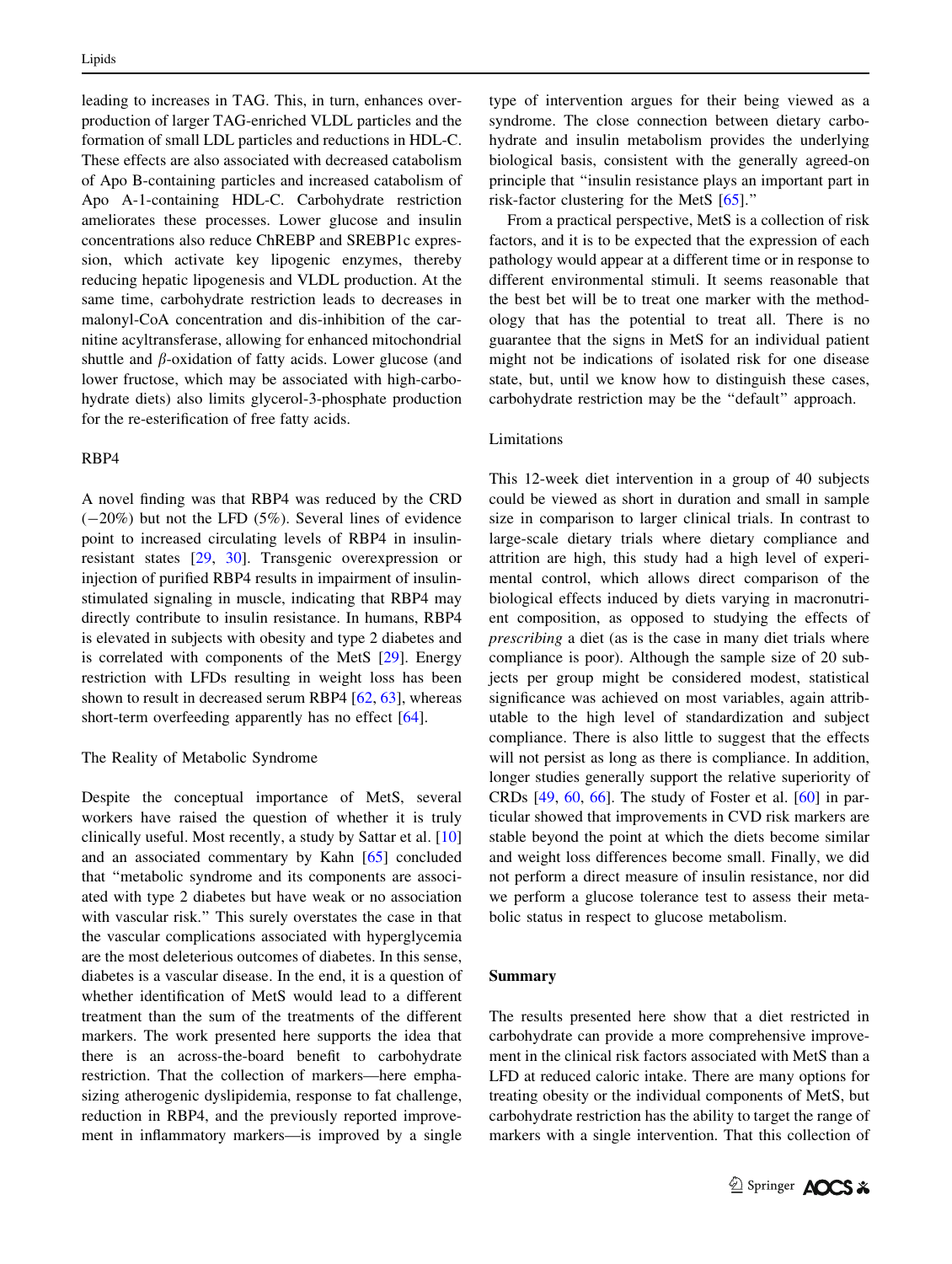leading to increases in TAG. This, in turn, enhances overproduction of larger TAG-enriched VLDL particles and the formation of small LDL particles and reductions in HDL-C. These effects are also associated with decreased catabolism of Apo B-containing particles and increased catabolism of Apo A-1-containing HDL-C. Carbohydrate restriction ameliorates these processes. Lower glucose and insulin concentrations also reduce ChREBP and SREBP1c expression, which activate key lipogenic enzymes, thereby reducing hepatic lipogenesis and VLDL production. At the same time, carbohydrate restriction leads to decreases in malonyl-CoA concentration and dis-inhibition of the carnitine acyltransferase, allowing for enhanced mitochondrial shuttle and  $\beta$ -oxidation of fatty acids. Lower glucose (and lower fructose, which may be associated with high-carbohydrate diets) also limits glycerol-3-phosphate production for the re-esterification of free fatty acids.

## RBP4

A novel finding was that RBP4 was reduced by the CRD  $(-20\%)$  but not the LFD (5%). Several lines of evidence point to increased circulating levels of RBP4 in insulinresistant states [[29](#page-11-0), [30](#page-11-0)]. Transgenic overexpression or injection of purified RBP4 results in impairment of insulinstimulated signaling in muscle, indicating that RBP4 may directly contribute to insulin resistance. In humans, RBP4 is elevated in subjects with obesity and type 2 diabetes and is correlated with components of the MetS [\[29](#page-11-0)]. Energy restriction with LFDs resulting in weight loss has been shown to result in decreased serum RBP4 [\[62](#page-12-0), [63](#page-12-0)], whereas short-term overfeeding apparently has no effect [\[64](#page-12-0)].

## The Reality of Metabolic Syndrome

Despite the conceptual importance of MetS, several workers have raised the question of whether it is truly clinically useful. Most recently, a study by Sattar et al. [[10\]](#page-11-0) and an associated commentary by Kahn [[65\]](#page-12-0) concluded that ''metabolic syndrome and its components are associated with type 2 diabetes but have weak or no association with vascular risk.'' This surely overstates the case in that the vascular complications associated with hyperglycemia are the most deleterious outcomes of diabetes. In this sense, diabetes is a vascular disease. In the end, it is a question of whether identification of MetS would lead to a different treatment than the sum of the treatments of the different markers. The work presented here supports the idea that there is an across-the-board benefit to carbohydrate restriction. That the collection of markers—here emphasizing atherogenic dyslipidemia, response to fat challenge, reduction in RBP4, and the previously reported improvement in inflammatory markers—is improved by a single type of intervention argues for their being viewed as a syndrome. The close connection between dietary carbohydrate and insulin metabolism provides the underlying biological basis, consistent with the generally agreed-on principle that ''insulin resistance plays an important part in risk-factor clustering for the MetS [[65\]](#page-12-0).''

From a practical perspective, MetS is a collection of risk factors, and it is to be expected that the expression of each pathology would appear at a different time or in response to different environmental stimuli. It seems reasonable that the best bet will be to treat one marker with the methodology that has the potential to treat all. There is no guarantee that the signs in MetS for an individual patient might not be indications of isolated risk for one disease state, but, until we know how to distinguish these cases, carbohydrate restriction may be the ''default'' approach.

## Limitations

This 12-week diet intervention in a group of 40 subjects could be viewed as short in duration and small in sample size in comparison to larger clinical trials. In contrast to large-scale dietary trials where dietary compliance and attrition are high, this study had a high level of experimental control, which allows direct comparison of the biological effects induced by diets varying in macronutrient composition, as opposed to studying the effects of prescribing a diet (as is the case in many diet trials where compliance is poor). Although the sample size of 20 subjects per group might be considered modest, statistical significance was achieved on most variables, again attributable to the high level of standardization and subject compliance. There is also little to suggest that the effects will not persist as long as there is compliance. In addition, longer studies generally support the relative superiority of CRDs [\[49](#page-12-0), [60](#page-12-0), [66](#page-12-0)]. The study of Foster et al. [\[60](#page-12-0)] in particular showed that improvements in CVD risk markers are stable beyond the point at which the diets become similar and weight loss differences become small. Finally, we did not perform a direct measure of insulin resistance, nor did we perform a glucose tolerance test to assess their metabolic status in respect to glucose metabolism.

#### Summary

The results presented here show that a diet restricted in carbohydrate can provide a more comprehensive improvement in the clinical risk factors associated with MetS than a LFD at reduced caloric intake. There are many options for treating obesity or the individual components of MetS, but carbohydrate restriction has the ability to target the range of markers with a single intervention. That this collection of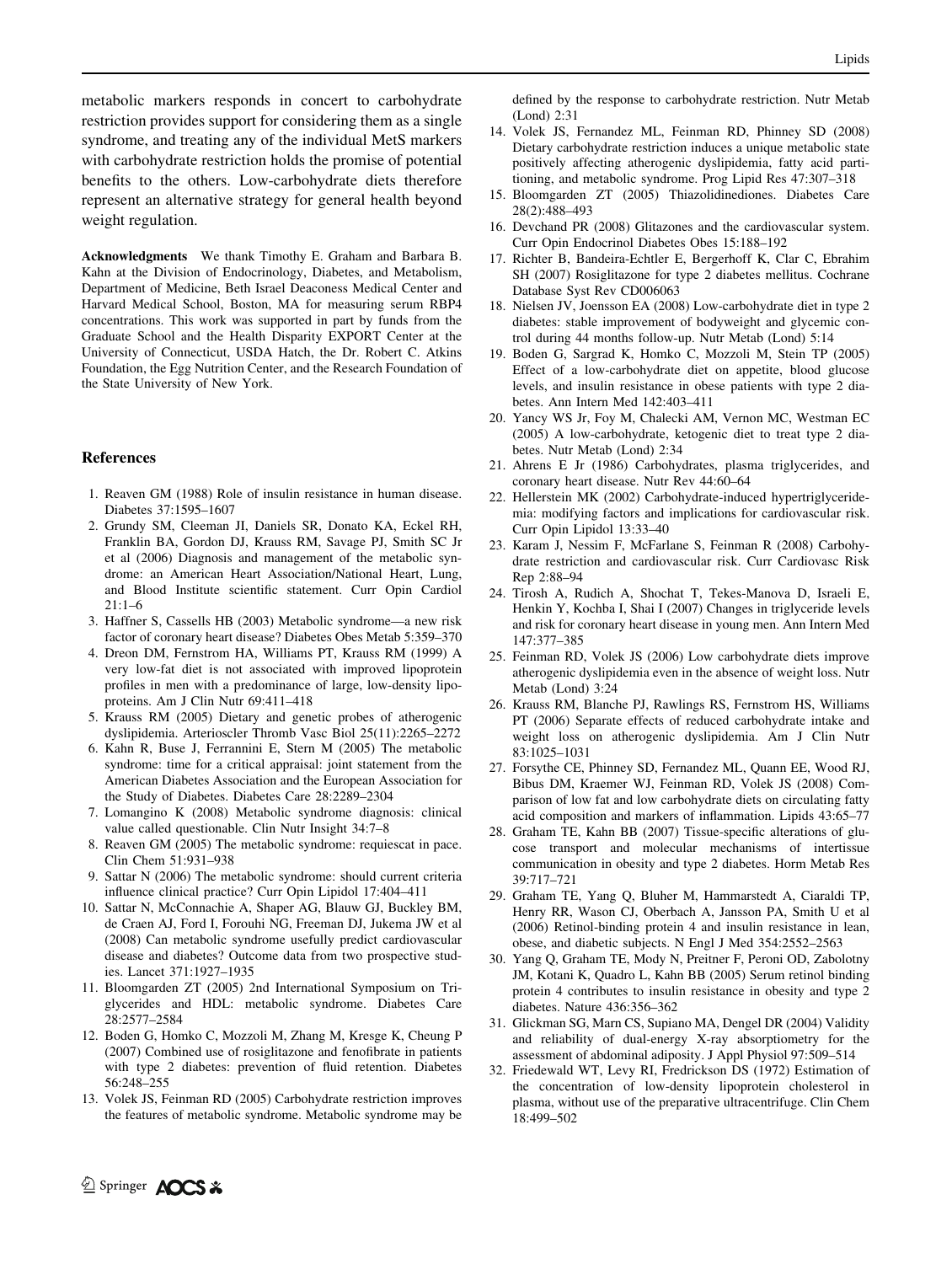<span id="page-11-0"></span>metabolic markers responds in concert to carbohydrate restriction provides support for considering them as a single syndrome, and treating any of the individual MetS markers with carbohydrate restriction holds the promise of potential benefits to the others. Low-carbohydrate diets therefore represent an alternative strategy for general health beyond weight regulation.

Acknowledgments We thank Timothy E. Graham and Barbara B. Kahn at the Division of Endocrinology, Diabetes, and Metabolism, Department of Medicine, Beth Israel Deaconess Medical Center and Harvard Medical School, Boston, MA for measuring serum RBP4 concentrations. This work was supported in part by funds from the Graduate School and the Health Disparity EXPORT Center at the University of Connecticut, USDA Hatch, the Dr. Robert C. Atkins Foundation, the Egg Nutrition Center, and the Research Foundation of the State University of New York.

#### References

- 1. Reaven GM (1988) Role of insulin resistance in human disease. Diabetes 37:1595–1607
- 2. Grundy SM, Cleeman JI, Daniels SR, Donato KA, Eckel RH, Franklin BA, Gordon DJ, Krauss RM, Savage PJ, Smith SC Jr et al (2006) Diagnosis and management of the metabolic syndrome: an American Heart Association/National Heart, Lung, and Blood Institute scientific statement. Curr Opin Cardiol  $21:1-6$
- 3. Haffner S, Cassells HB (2003) Metabolic syndrome—a new risk factor of coronary heart disease? Diabetes Obes Metab 5:359–370
- 4. Dreon DM, Fernstrom HA, Williams PT, Krauss RM (1999) A very low-fat diet is not associated with improved lipoprotein profiles in men with a predominance of large, low-density lipoproteins. Am J Clin Nutr 69:411–418
- 5. Krauss RM (2005) Dietary and genetic probes of atherogenic dyslipidemia. Arterioscler Thromb Vasc Biol 25(11):2265–2272
- 6. Kahn R, Buse J, Ferrannini E, Stern M (2005) The metabolic syndrome: time for a critical appraisal: joint statement from the American Diabetes Association and the European Association for the Study of Diabetes. Diabetes Care 28:2289–2304
- 7. Lomangino K (2008) Metabolic syndrome diagnosis: clinical value called questionable. Clin Nutr Insight 34:7–8
- 8. Reaven GM (2005) The metabolic syndrome: requiescat in pace. Clin Chem 51:931–938
- 9. Sattar N (2006) The metabolic syndrome: should current criteria influence clinical practice? Curr Opin Lipidol 17:404–411
- 10. Sattar N, McConnachie A, Shaper AG, Blauw GJ, Buckley BM, de Craen AJ, Ford I, Forouhi NG, Freeman DJ, Jukema JW et al (2008) Can metabolic syndrome usefully predict cardiovascular disease and diabetes? Outcome data from two prospective studies. Lancet 371:1927–1935
- 11. Bloomgarden ZT (2005) 2nd International Symposium on Triglycerides and HDL: metabolic syndrome. Diabetes Care 28:2577–2584
- 12. Boden G, Homko C, Mozzoli M, Zhang M, Kresge K, Cheung P (2007) Combined use of rosiglitazone and fenofibrate in patients with type 2 diabetes: prevention of fluid retention. Diabetes 56:248–255
- 13. Volek JS, Feinman RD (2005) Carbohydrate restriction improves the features of metabolic syndrome. Metabolic syndrome may be

defined by the response to carbohydrate restriction. Nutr Metab (Lond) 2:31

- 14. Volek JS, Fernandez ML, Feinman RD, Phinney SD (2008) Dietary carbohydrate restriction induces a unique metabolic state positively affecting atherogenic dyslipidemia, fatty acid partitioning, and metabolic syndrome. Prog Lipid Res 47:307–318
- 15. Bloomgarden ZT (2005) Thiazolidinediones. Diabetes Care 28(2):488–493
- 16. Devchand PR (2008) Glitazones and the cardiovascular system. Curr Opin Endocrinol Diabetes Obes 15:188–192
- 17. Richter B, Bandeira-Echtler E, Bergerhoff K, Clar C, Ebrahim SH (2007) Rosiglitazone for type 2 diabetes mellitus. Cochrane Database Syst Rev CD006063
- 18. Nielsen JV, Joensson EA (2008) Low-carbohydrate diet in type 2 diabetes: stable improvement of bodyweight and glycemic control during 44 months follow-up. Nutr Metab (Lond) 5:14
- 19. Boden G, Sargrad K, Homko C, Mozzoli M, Stein TP (2005) Effect of a low-carbohydrate diet on appetite, blood glucose levels, and insulin resistance in obese patients with type 2 diabetes. Ann Intern Med 142:403–411
- 20. Yancy WS Jr, Foy M, Chalecki AM, Vernon MC, Westman EC (2005) A low-carbohydrate, ketogenic diet to treat type 2 diabetes. Nutr Metab (Lond) 2:34
- 21. Ahrens E Jr (1986) Carbohydrates, plasma triglycerides, and coronary heart disease. Nutr Rev 44:60–64
- 22. Hellerstein MK (2002) Carbohydrate-induced hypertriglyceridemia: modifying factors and implications for cardiovascular risk. Curr Opin Lipidol 13:33–40
- 23. Karam J, Nessim F, McFarlane S, Feinman R (2008) Carbohydrate restriction and cardiovascular risk. Curr Cardiovasc Risk Rep 2:88–94
- 24. Tirosh A, Rudich A, Shochat T, Tekes-Manova D, Israeli E, Henkin Y, Kochba I, Shai I (2007) Changes in triglyceride levels and risk for coronary heart disease in young men. Ann Intern Med 147:377–385
- 25. Feinman RD, Volek JS (2006) Low carbohydrate diets improve atherogenic dyslipidemia even in the absence of weight loss. Nutr Metab (Lond) 3:24
- 26. Krauss RM, Blanche PJ, Rawlings RS, Fernstrom HS, Williams PT (2006) Separate effects of reduced carbohydrate intake and weight loss on atherogenic dyslipidemia. Am J Clin Nutr 83:1025–1031
- 27. Forsythe CE, Phinney SD, Fernandez ML, Quann EE, Wood RJ, Bibus DM, Kraemer WJ, Feinman RD, Volek JS (2008) Comparison of low fat and low carbohydrate diets on circulating fatty acid composition and markers of inflammation. Lipids 43:65–77
- 28. Graham TE, Kahn BB (2007) Tissue-specific alterations of glucose transport and molecular mechanisms of intertissue communication in obesity and type 2 diabetes. Horm Metab Res 39:717–721
- 29. Graham TE, Yang Q, Bluher M, Hammarstedt A, Ciaraldi TP, Henry RR, Wason CJ, Oberbach A, Jansson PA, Smith U et al (2006) Retinol-binding protein 4 and insulin resistance in lean, obese, and diabetic subjects. N Engl J Med 354:2552–2563
- 30. Yang Q, Graham TE, Mody N, Preitner F, Peroni OD, Zabolotny JM, Kotani K, Quadro L, Kahn BB (2005) Serum retinol binding protein 4 contributes to insulin resistance in obesity and type 2 diabetes. Nature 436:356–362
- 31. Glickman SG, Marn CS, Supiano MA, Dengel DR (2004) Validity and reliability of dual-energy X-ray absorptiometry for the assessment of abdominal adiposity. J Appl Physiol 97:509–514
- 32. Friedewald WT, Levy RI, Fredrickson DS (1972) Estimation of the concentration of low-density lipoprotein cholesterol in plasma, without use of the preparative ultracentrifuge. Clin Chem 18:499–502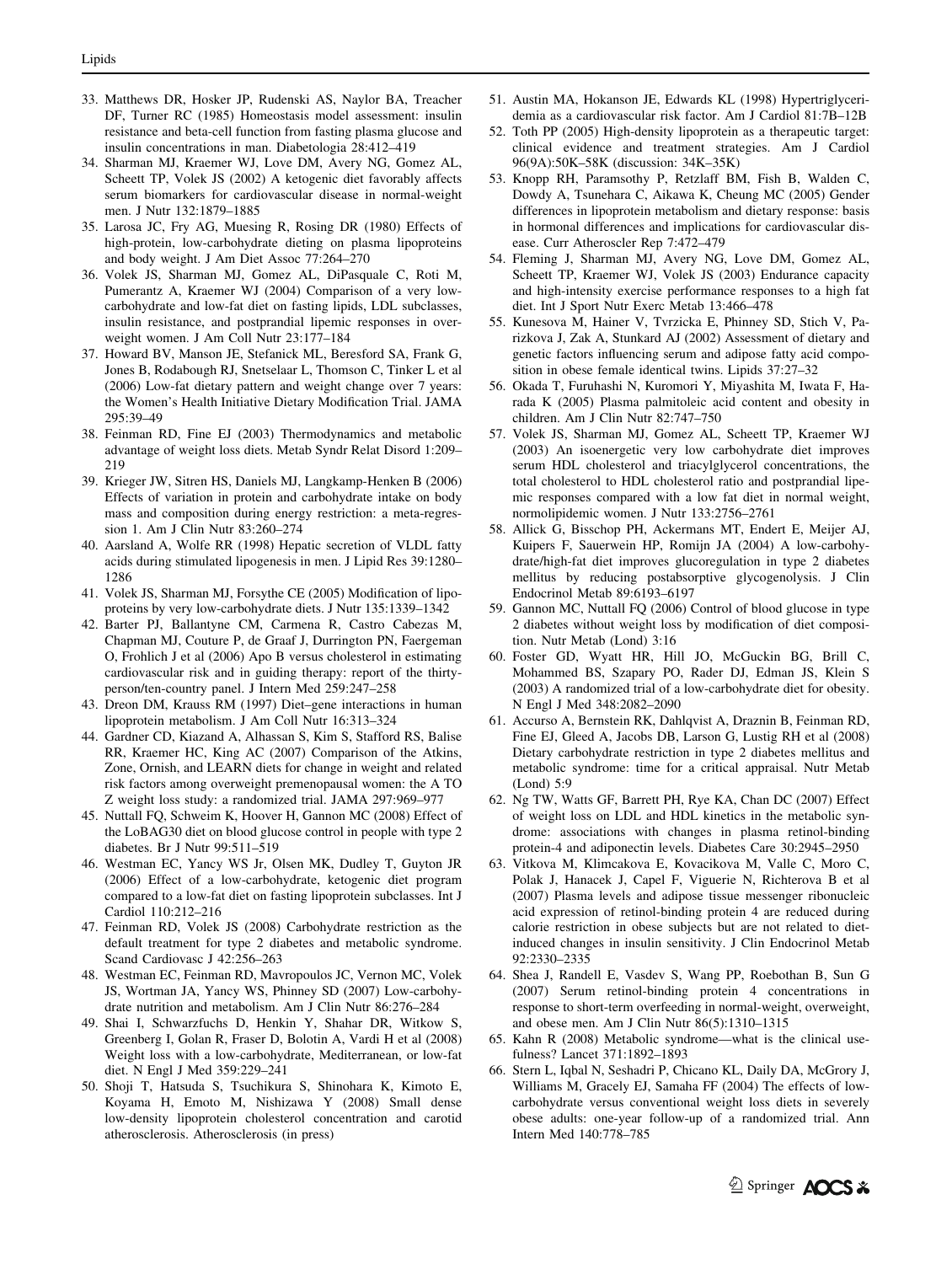- <span id="page-12-0"></span>33. Matthews DR, Hosker JP, Rudenski AS, Naylor BA, Treacher DF, Turner RC (1985) Homeostasis model assessment: insulin resistance and beta-cell function from fasting plasma glucose and insulin concentrations in man. Diabetologia 28:412–419
- 34. Sharman MJ, Kraemer WJ, Love DM, Avery NG, Gomez AL, Scheett TP, Volek JS (2002) A ketogenic diet favorably affects serum biomarkers for cardiovascular disease in normal-weight men. J Nutr 132:1879–1885
- 35. Larosa JC, Fry AG, Muesing R, Rosing DR (1980) Effects of high-protein, low-carbohydrate dieting on plasma lipoproteins and body weight. J Am Diet Assoc 77:264–270
- 36. Volek JS, Sharman MJ, Gomez AL, DiPasquale C, Roti M, Pumerantz A, Kraemer WJ (2004) Comparison of a very lowcarbohydrate and low-fat diet on fasting lipids, LDL subclasses, insulin resistance, and postprandial lipemic responses in overweight women. J Am Coll Nutr 23:177–184
- 37. Howard BV, Manson JE, Stefanick ML, Beresford SA, Frank G, Jones B, Rodabough RJ, Snetselaar L, Thomson C, Tinker L et al (2006) Low-fat dietary pattern and weight change over 7 years: the Women's Health Initiative Dietary Modification Trial. JAMA 295:39–49
- 38. Feinman RD, Fine EJ (2003) Thermodynamics and metabolic advantage of weight loss diets. Metab Syndr Relat Disord 1:209– 219
- 39. Krieger JW, Sitren HS, Daniels MJ, Langkamp-Henken B (2006) Effects of variation in protein and carbohydrate intake on body mass and composition during energy restriction: a meta-regression 1. Am J Clin Nutr 83:260–274
- 40. Aarsland A, Wolfe RR (1998) Hepatic secretion of VLDL fatty acids during stimulated lipogenesis in men. J Lipid Res 39:1280– 1286
- 41. Volek JS, Sharman MJ, Forsythe CE (2005) Modification of lipoproteins by very low-carbohydrate diets. J Nutr 135:1339–1342
- 42. Barter PJ, Ballantyne CM, Carmena R, Castro Cabezas M, Chapman MJ, Couture P, de Graaf J, Durrington PN, Faergeman O, Frohlich J et al (2006) Apo B versus cholesterol in estimating cardiovascular risk and in guiding therapy: report of the thirtyperson/ten-country panel. J Intern Med 259:247–258
- 43. Dreon DM, Krauss RM (1997) Diet–gene interactions in human lipoprotein metabolism. J Am Coll Nutr 16:313–324
- 44. Gardner CD, Kiazand A, Alhassan S, Kim S, Stafford RS, Balise RR, Kraemer HC, King AC (2007) Comparison of the Atkins, Zone, Ornish, and LEARN diets for change in weight and related risk factors among overweight premenopausal women: the A TO Z weight loss study: a randomized trial. JAMA 297:969–977
- 45. Nuttall FQ, Schweim K, Hoover H, Gannon MC (2008) Effect of the LoBAG30 diet on blood glucose control in people with type 2 diabetes. Br J Nutr 99:511–519
- 46. Westman EC, Yancy WS Jr, Olsen MK, Dudley T, Guyton JR (2006) Effect of a low-carbohydrate, ketogenic diet program compared to a low-fat diet on fasting lipoprotein subclasses. Int J Cardiol 110:212–216
- 47. Feinman RD, Volek JS (2008) Carbohydrate restriction as the default treatment for type 2 diabetes and metabolic syndrome. Scand Cardiovasc J 42:256–263
- 48. Westman EC, Feinman RD, Mavropoulos JC, Vernon MC, Volek JS, Wortman JA, Yancy WS, Phinney SD (2007) Low-carbohydrate nutrition and metabolism. Am J Clin Nutr 86:276–284
- 49. Shai I, Schwarzfuchs D, Henkin Y, Shahar DR, Witkow S, Greenberg I, Golan R, Fraser D, Bolotin A, Vardi H et al (2008) Weight loss with a low-carbohydrate, Mediterranean, or low-fat diet. N Engl J Med 359:229–241
- 50. Shoji T, Hatsuda S, Tsuchikura S, Shinohara K, Kimoto E, Koyama H, Emoto M, Nishizawa Y (2008) Small dense low-density lipoprotein cholesterol concentration and carotid atherosclerosis. Atherosclerosis (in press)
- 51. Austin MA, Hokanson JE, Edwards KL (1998) Hypertriglyceridemia as a cardiovascular risk factor. Am J Cardiol 81:7B–12B
- 52. Toth PP (2005) High-density lipoprotein as a therapeutic target: clinical evidence and treatment strategies. Am J Cardiol 96(9A):50K–58K (discussion: 34K–35K)
- 53. Knopp RH, Paramsothy P, Retzlaff BM, Fish B, Walden C, Dowdy A, Tsunehara C, Aikawa K, Cheung MC (2005) Gender differences in lipoprotein metabolism and dietary response: basis in hormonal differences and implications for cardiovascular disease. Curr Atheroscler Rep 7:472–479
- 54. Fleming J, Sharman MJ, Avery NG, Love DM, Gomez AL, Scheett TP, Kraemer WJ, Volek JS (2003) Endurance capacity and high-intensity exercise performance responses to a high fat diet. Int J Sport Nutr Exerc Metab 13:466–478
- 55. Kunesova M, Hainer V, Tvrzicka E, Phinney SD, Stich V, Parizkova J, Zak A, Stunkard AJ (2002) Assessment of dietary and genetic factors influencing serum and adipose fatty acid composition in obese female identical twins. Lipids 37:27–32
- 56. Okada T, Furuhashi N, Kuromori Y, Miyashita M, Iwata F, Harada K (2005) Plasma palmitoleic acid content and obesity in children. Am J Clin Nutr 82:747–750
- 57. Volek JS, Sharman MJ, Gomez AL, Scheett TP, Kraemer WJ (2003) An isoenergetic very low carbohydrate diet improves serum HDL cholesterol and triacylglycerol concentrations, the total cholesterol to HDL cholesterol ratio and postprandial lipemic responses compared with a low fat diet in normal weight, normolipidemic women. J Nutr 133:2756–2761
- 58. Allick G, Bisschop PH, Ackermans MT, Endert E, Meijer AJ, Kuipers F, Sauerwein HP, Romijn JA (2004) A low-carbohydrate/high-fat diet improves glucoregulation in type 2 diabetes mellitus by reducing postabsorptive glycogenolysis. J Clin Endocrinol Metab 89:6193–6197
- 59. Gannon MC, Nuttall FQ (2006) Control of blood glucose in type 2 diabetes without weight loss by modification of diet composition. Nutr Metab (Lond) 3:16
- 60. Foster GD, Wyatt HR, Hill JO, McGuckin BG, Brill C, Mohammed BS, Szapary PO, Rader DJ, Edman JS, Klein S (2003) A randomized trial of a low-carbohydrate diet for obesity. N Engl J Med 348:2082–2090
- 61. Accurso A, Bernstein RK, Dahlqvist A, Draznin B, Feinman RD, Fine EJ, Gleed A, Jacobs DB, Larson G, Lustig RH et al (2008) Dietary carbohydrate restriction in type 2 diabetes mellitus and metabolic syndrome: time for a critical appraisal. Nutr Metab (Lond) 5:9
- 62. Ng TW, Watts GF, Barrett PH, Rye KA, Chan DC (2007) Effect of weight loss on LDL and HDL kinetics in the metabolic syndrome: associations with changes in plasma retinol-binding protein-4 and adiponectin levels. Diabetes Care 30:2945–2950
- 63. Vitkova M, Klimcakova E, Kovacikova M, Valle C, Moro C, Polak J, Hanacek J, Capel F, Viguerie N, Richterova B et al (2007) Plasma levels and adipose tissue messenger ribonucleic acid expression of retinol-binding protein 4 are reduced during calorie restriction in obese subjects but are not related to dietinduced changes in insulin sensitivity. J Clin Endocrinol Metab 92:2330–2335
- 64. Shea J, Randell E, Vasdev S, Wang PP, Roebothan B, Sun G (2007) Serum retinol-binding protein 4 concentrations in response to short-term overfeeding in normal-weight, overweight, and obese men. Am J Clin Nutr 86(5):1310–1315
- 65. Kahn R (2008) Metabolic syndrome—what is the clinical usefulness? Lancet 371:1892–1893
- 66. Stern L, Iqbal N, Seshadri P, Chicano KL, Daily DA, McGrory J, Williams M, Gracely EJ, Samaha FF (2004) The effects of lowcarbohydrate versus conventional weight loss diets in severely obese adults: one-year follow-up of a randomized trial. Ann Intern Med 140:778–785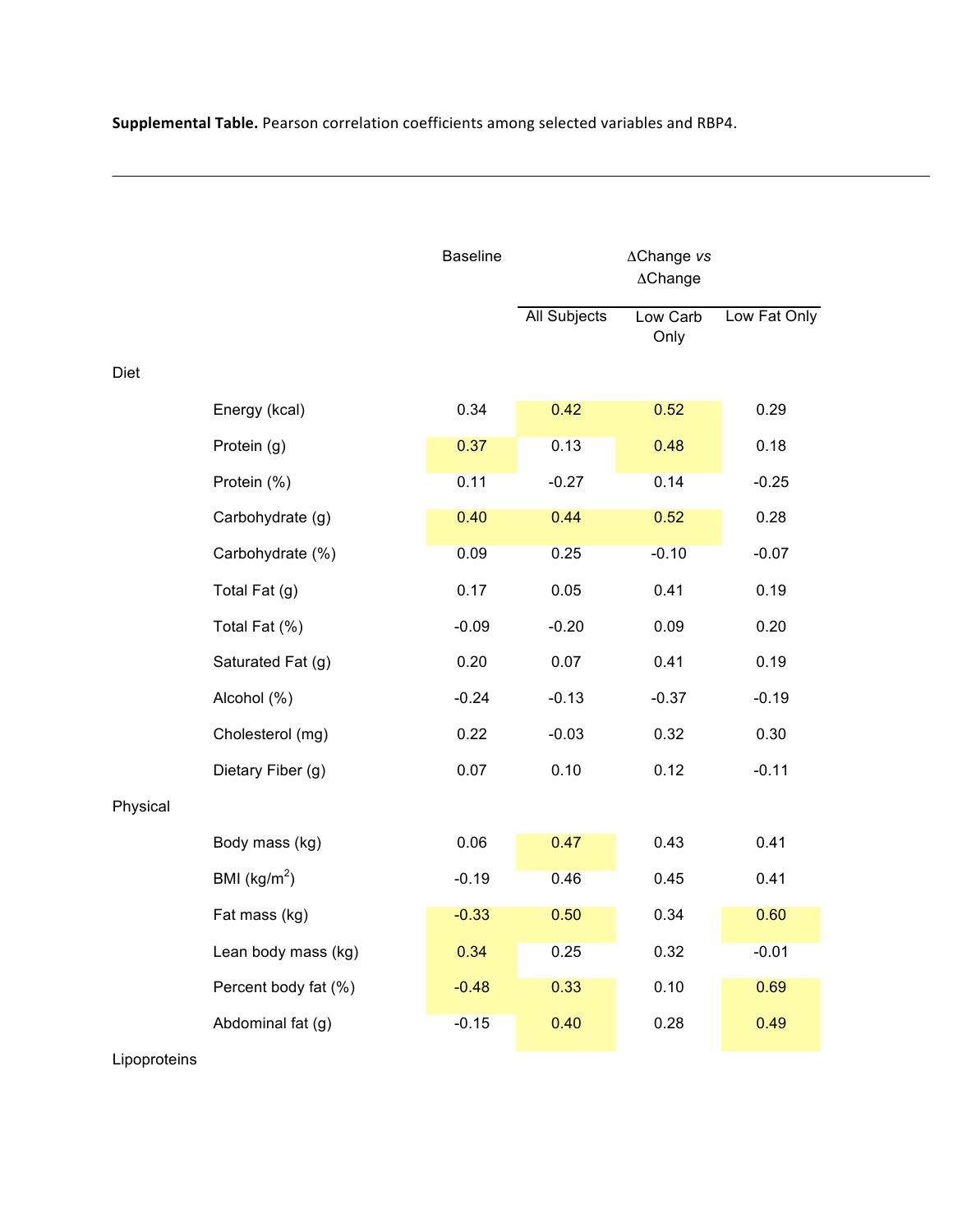|          |                         | <b>Baseline</b> |                     | ∆Change vs<br>$\triangle$ Change |              |
|----------|-------------------------|-----------------|---------------------|----------------------------------|--------------|
|          |                         |                 | <b>All Subjects</b> | Low Carb<br>Only                 | Low Fat Only |
| Diet     |                         |                 |                     |                                  |              |
|          | Energy (kcal)           | 0.34            | 0.42                | 0.52                             | 0.29         |
|          | Protein (g)             | 0.37            | 0.13                | 0.48                             | 0.18         |
|          | Protein (%)             | 0.11            | $-0.27$             | 0.14                             | $-0.25$      |
|          | Carbohydrate (g)        | 0.40            | 0.44                | 0.52                             | 0.28         |
|          | Carbohydrate (%)        | 0.09            | 0.25                | $-0.10$                          | $-0.07$      |
|          | Total Fat (g)           | 0.17            | 0.05                | 0.41                             | 0.19         |
|          | Total Fat (%)           | $-0.09$         | $-0.20$             | 0.09                             | 0.20         |
|          | Saturated Fat (g)       | 0.20            | 0.07                | 0.41                             | 0.19         |
|          | Alcohol (%)             | $-0.24$         | $-0.13$             | $-0.37$                          | $-0.19$      |
|          | Cholesterol (mg)        | 0.22            | $-0.03$             | 0.32                             | 0.30         |
|          | Dietary Fiber (g)       | 0.07            | 0.10                | 0.12                             | $-0.11$      |
| Physical |                         |                 |                     |                                  |              |
|          | Body mass (kg)          | 0.06            | 0.47                | 0.43                             | 0.41         |
|          | BMI ( $\text{kg/m}^2$ ) | $-0.19$         | 0.46                | 0.45                             | 0.41         |
|          | Fat mass (kg)           | $-0.33$         | 0.50                | 0.34                             | 0.60         |
|          | Lean body mass (kg)     | 0.34            | 0.25                | 0.32                             | $-0.01$      |
|          | Percent body fat (%)    | $-0.48$         | 0.33                | 0.10                             | 0.69         |
|          | Abdominal fat (g)       | $-0.15$         | 0.40                | 0.28                             | 0.49         |

Lipoproteins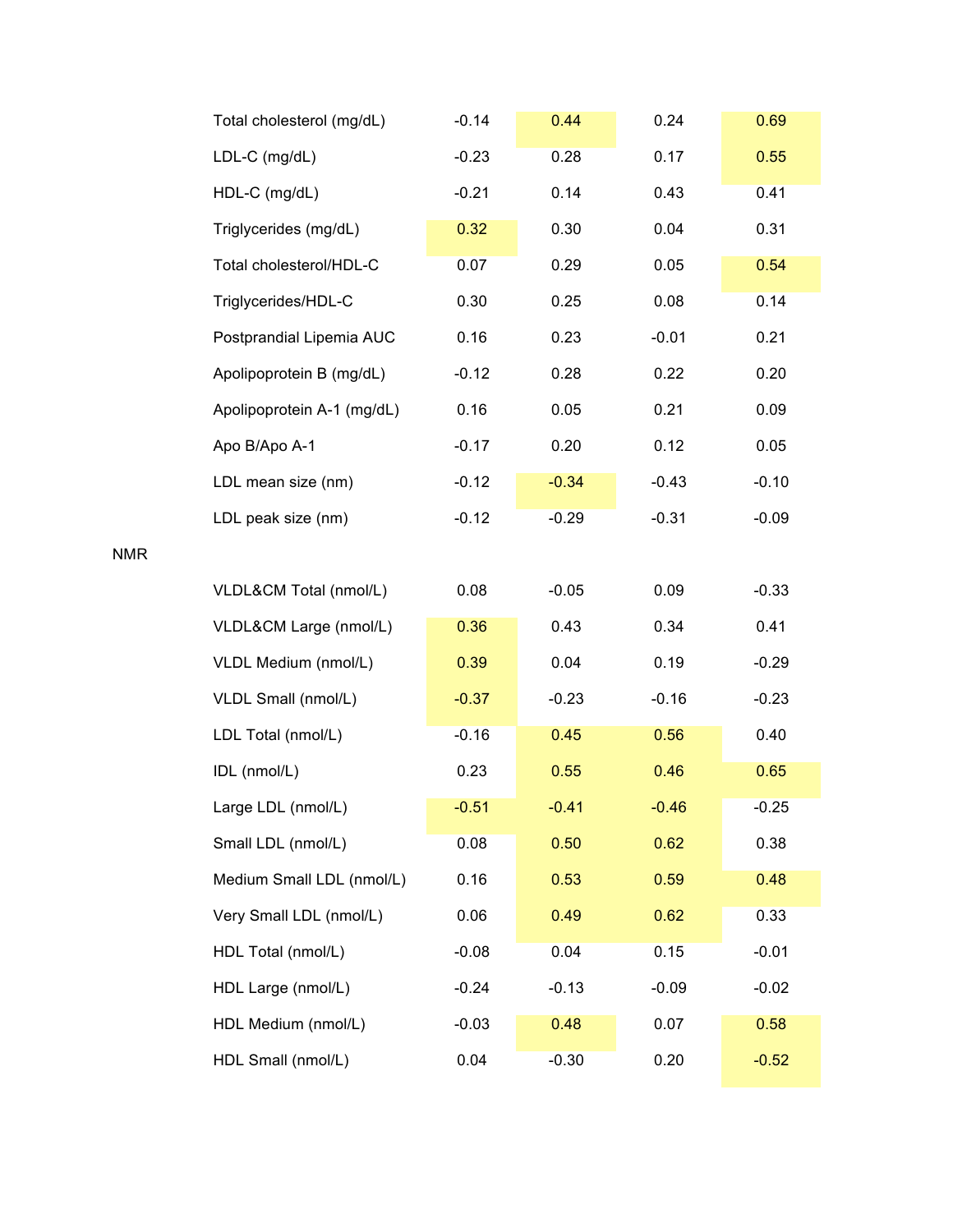| Total cholesterol (mg/dL)  | $-0.14$ | 0.44    | 0.24    | 0.69    |
|----------------------------|---------|---------|---------|---------|
| LDL-C (mg/dL)              | $-0.23$ | 0.28    | 0.17    | 0.55    |
| HDL-C (mg/dL)              | $-0.21$ | 0.14    | 0.43    | 0.41    |
| Triglycerides (mg/dL)      | 0.32    | 0.30    | 0.04    | 0.31    |
| Total cholesterol/HDL-C    | 0.07    | 0.29    | 0.05    | 0.54    |
| Triglycerides/HDL-C        | 0.30    | 0.25    | 0.08    | 0.14    |
| Postprandial Lipemia AUC   | 0.16    | 0.23    | $-0.01$ | 0.21    |
| Apolipoprotein B (mg/dL)   | $-0.12$ | 0.28    | 0.22    | 0.20    |
| Apolipoprotein A-1 (mg/dL) | 0.16    | 0.05    | 0.21    | 0.09    |
| Apo B/Apo A-1              | $-0.17$ | 0.20    | 0.12    | 0.05    |
| LDL mean size (nm)         | $-0.12$ | $-0.34$ | $-0.43$ | $-0.10$ |
| LDL peak size (nm)         | $-0.12$ | $-0.29$ | $-0.31$ | $-0.09$ |
|                            |         |         |         |         |
| VLDL&CM Total (nmol/L)     | 0.08    | $-0.05$ | 0.09    | $-0.33$ |
| VLDL&CM Large (nmol/L)     | 0.36    | 0.43    | 0.34    | 0.41    |
| VLDL Medium (nmol/L)       | 0.39    | 0.04    | 0.19    | $-0.29$ |
| VLDL Small (nmol/L)        | $-0.37$ | $-0.23$ | $-0.16$ | $-0.23$ |
| LDL Total (nmol/L)         | $-0.16$ | 0.45    | 0.56    | 0.40    |
| IDL (nmol/L)               | 0.23    | 0.55    | 0.46    | 0.65    |
| Large LDL (nmol/L)         | $-0.51$ | $-0.41$ | $-0.46$ | $-0.25$ |
| Small LDL (nmol/L)         | 0.08    | 0.50    | 0.62    | 0.38    |
| Medium Small LDL (nmol/L)  | 0.16    | 0.53    | 0.59    | 0.48    |
| Very Small LDL (nmol/L)    | 0.06    | 0.49    | 0.62    | 0.33    |
| HDL Total (nmol/L)         | $-0.08$ | 0.04    | 0.15    | $-0.01$ |
| HDL Large (nmol/L)         | $-0.24$ | $-0.13$ | $-0.09$ | $-0.02$ |
| HDL Medium (nmol/L)        | $-0.03$ | 0.48    | 0.07    | 0.58    |
| HDL Small (nmol/L)         | 0.04    | $-0.30$ | 0.20    | $-0.52$ |

NMR